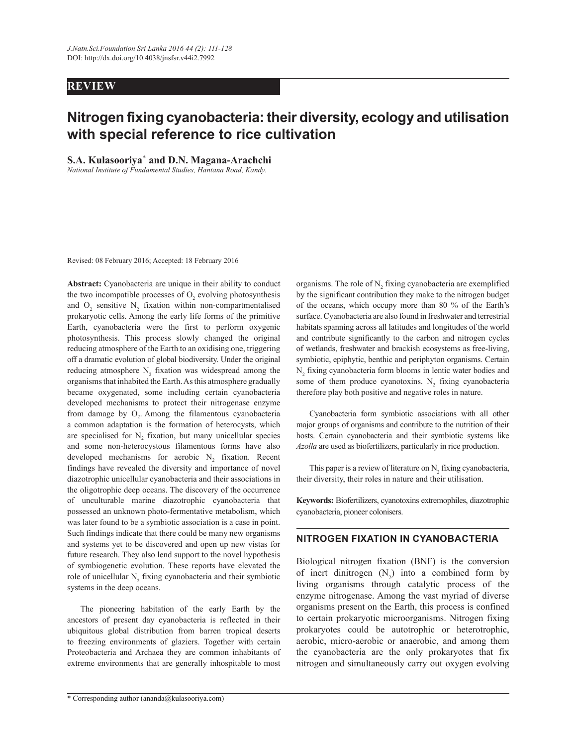# **REVIEW**

# **Nitrogen fixing cyanobacteria: their diversity, ecology and utilisation with special reference to rice cultivation**

**S.A. Kulasooriya**\* **and D.N. Magana-Arachchi**

*National Institute of Fundamental Studies, Hantana Road, Kandy.* 

Revised: 08 February 2016; Accepted: 18 February 2016

**Abstract:** Cyanobacteria are unique in their ability to conduct the two incompatible processes of  $O_2$  evolving photosynthesis and  $O_2$  sensitive  $N_2$  fixation within non-compartmentalised prokaryotic cells. Among the early life forms of the primitive Earth, cyanobacteria were the first to perform oxygenic photosynthesis. This process slowly changed the original reducing atmosphere of the Earth to an oxidising one, triggering off a dramatic evolution of global biodiversity. Under the original reducing atmosphere  $N_2$  fixation was widespread among the organisms that inhabited the Earth. As this atmosphere gradually became oxygenated, some including certain cyanobacteria developed mechanisms to protect their nitrogenase enzyme from damage by  $O_2$ . Among the filamentous cyanobacteria a common adaptation is the formation of heterocysts, which are specialised for  $N_2$  fixation, but many unicellular species and some non-heterocystous filamentous forms have also developed mechanisms for aerobic  $N_2$  fixation. Recent findings have revealed the diversity and importance of novel diazotrophic unicellular cyanobacteria and their associations in the oligotrophic deep oceans. The discovery of the occurrence of unculturable marine diazotrophic cyanobacteria that possessed an unknown photo-fermentative metabolism, which was later found to be a symbiotic association is a case in point. Such findings indicate that there could be many new organisms and systems yet to be discovered and open up new vistas for future research. They also lend support to the novel hypothesis of symbiogenetic evolution. These reports have elevated the role of unicellular  $N_2$  fixing cyanobacteria and their symbiotic systems in the deep oceans.

 The pioneering habitation of the early Earth by the ancestors of present day cyanobacteria is reflected in their ubiquitous global distribution from barren tropical deserts to freezing environments of glaziers. Together with certain Proteobacteria and Archaea they are common inhabitants of extreme environments that are generally inhospitable to most

organisms. The role of  $N_2$  fixing cyanobacteria are exemplified by the significant contribution they make to the nitrogen budget of the oceans, which occupy more than 80 % of the Earth's surface. Cyanobacteria are also found in freshwater and terrestrial habitats spanning across all latitudes and longitudes of the world and contribute significantly to the carbon and nitrogen cycles of wetlands, freshwater and brackish ecosystems as free-living, symbiotic, epiphytic, benthic and periphyton organisms. Certain  $N<sub>2</sub>$  fixing cyanobacteria form blooms in lentic water bodies and some of them produce cyanotoxins.  $N_2$  fixing cyanobacteria therefore play both positive and negative roles in nature.

 Cyanobacteria form symbiotic associations with all other major groups of organisms and contribute to the nutrition of their hosts. Certain cyanobacteria and their symbiotic systems like *Azolla* are used as biofertilizers, particularly in rice production.

This paper is a review of literature on  $N_2$  fixing cyanobacteria, their diversity, their roles in nature and their utilisation.

**Keywords:** Biofertilizers, cyanotoxins extremophiles, diazotrophic cyanobacteria, pioneer colonisers.

## **NITROGEN FIXATION IN CYANOBACTERIA**

Biological nitrogen fixation (BNF) is the conversion of inert dinitrogen  $(N_2)$  into a combined form by living organisms through catalytic process of the enzyme nitrogenase. Among the vast myriad of diverse organisms present on the Earth, this process is confined to certain prokaryotic microorganisms. Nitrogen fixing prokaryotes could be autotrophic or heterotrophic, aerobic, micro-aerobic or anaerobic, and among them the cyanobacteria are the only prokaryotes that fix nitrogen and simultaneously carry out oxygen evolving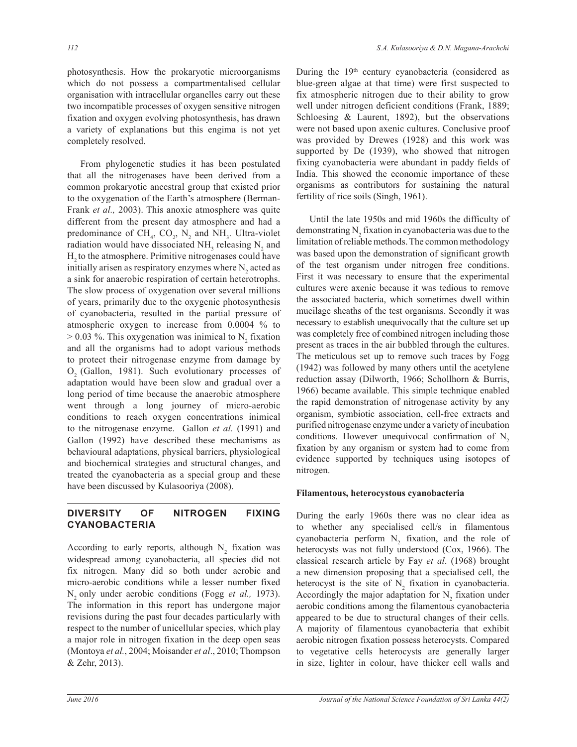photosynthesis. How the prokaryotic microorganisms which do not possess a compartmentalised cellular organisation with intracellular organelles carry out these two incompatible processes of oxygen sensitive nitrogen fixation and oxygen evolving photosynthesis, has drawn a variety of explanations but this engima is not yet completely resolved.

 From phylogenetic studies it has been postulated that all the nitrogenases have been derived from a common prokaryotic ancestral group that existed prior to the oxygenation of the Earth's atmosphere (Berman-Frank *et al.,* 2003). This anoxic atmosphere was quite different from the present day atmosphere and had a predominance of  $CH_4$ ,  $CO_2$ ,  $N_2$  and  $NH_3$ . Ultra-violet radiation would have dissociated  $NH<sub>3</sub>$  releasing  $N<sub>2</sub>$  and H<sub>2</sub> to the atmosphere. Primitive nitrogenases could have initially arisen as respiratory enzymes where  $N_2$  acted as a sink for anaerobic respiration of certain heterotrophs. The slow process of oxygenation over several millions of years, primarily due to the oxygenic photosynthesis of cyanobacteria, resulted in the partial pressure of atmospheric oxygen to increase from 0.0004 % to  $> 0.03$  %. This oxygenation was inimical to N<sub>2</sub> fixation and all the organisms had to adopt various methods to protect their nitrogenase enzyme from damage by O<sub>2</sub> (Gallon, 1981). Such evolutionary processes of adaptation would have been slow and gradual over a long period of time because the anaerobic atmosphere went through a long journey of micro-aerobic conditions to reach oxygen concentrations inimical to the nitrogenase enzyme. Gallon *et al.* (1991) and Gallon (1992) have described these mechanisms as behavioural adaptations, physical barriers, physiological and biochemical strategies and structural changes, and treated the cyanobacteria as a special group and these have been discussed by Kulasooriya (2008).

# **DIVERSITY OF NITROGEN FIXING CYANOBACTERIA**

According to early reports, although  $N_2$  fixation was widespread among cyanobacteria, all species did not fix nitrogen. Many did so both under aerobic and micro-aerobic conditions while a lesser number fixed N<sub>2</sub> only under aerobic conditions (Fogg *et al.*, 1973). The information in this report has undergone major revisions during the past four decades particularly with respect to the number of unicellular species, which play a major role in nitrogen fixation in the deep open seas (Montoya *et al.*, 2004; Moisander *et al*., 2010; Thompson & Zehr, 2013).

During the 19<sup>th</sup> century cyanobacteria (considered as blue-green algae at that time) were first suspected to fix atmospheric nitrogen due to their ability to grow well under nitrogen deficient conditions (Frank, 1889; Schloesing & Laurent, 1892), but the observations were not based upon axenic cultures. Conclusive proof was provided by Drewes (1928) and this work was supported by De (1939), who showed that nitrogen fixing cyanobacteria were abundant in paddy fields of India. This showed the economic importance of these organisms as contributors for sustaining the natural fertility of rice soils (Singh, 1961).

 Until the late 1950s and mid 1960s the difficulty of demonstrating  $N_2$  fixation in cyanobacteria was due to the limitation of reliable methods. The common methodology was based upon the demonstration of significant growth of the test organism under nitrogen free conditions. First it was necessary to ensure that the experimental cultures were axenic because it was tedious to remove the associated bacteria, which sometimes dwell within mucilage sheaths of the test organisms. Secondly it was necessary to establish unequivocally that the culture set up was completely free of combined nitrogen including those present as traces in the air bubbled through the cultures. The meticulous set up to remove such traces by Fogg (1942) was followed by many others until the acetylene reduction assay (Dilworth, 1966; Schollhorn & Burris, 1966) became available. This simple technique enabled the rapid demonstration of nitrogenase activity by any organism, symbiotic association, cell-free extracts and purified nitrogenase enzyme under a variety of incubation conditions. However unequivocal confirmation of  $N<sub>2</sub>$ fixation by any organism or system had to come from evidence supported by techniques using isotopes of nitrogen.

#### **Filamentous, heterocystous cyanobacteria**

During the early 1960s there was no clear idea as to whether any specialised cell/s in filamentous cyanobacteria perform  $N_2$  fixation, and the role of heterocysts was not fully understood (Cox, 1966). The classical research article by Fay *et al*. (1968) brought a new dimension proposing that a specialised cell, the heterocyst is the site of  $N_2$  fixation in cyanobacteria. Accordingly the major adaptation for  $N_2$  fixation under aerobic conditions among the filamentous cyanobacteria appeared to be due to structural changes of their cells. A majority of filamentous cyanobacteria that exhibit aerobic nitrogen fixation possess heterocysts. Compared to vegetative cells heterocysts are generally larger in size, lighter in colour, have thicker cell walls and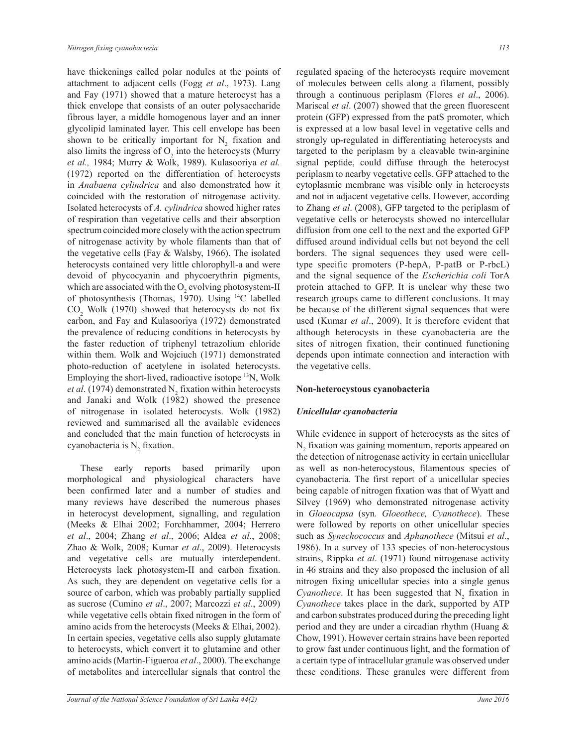have thickenings called polar nodules at the points of attachment to adjacent cells (Fogg *et al*., 1973). Lang and Fay (1971) showed that a mature heterocyst has a thick envelope that consists of an outer polysaccharide fibrous layer, a middle homogenous layer and an inner glycolipid laminated layer. This cell envelope has been shown to be critically important for  $N_2$  fixation and also limits the ingress of  $O_2$  into the heterocysts (Murry *et al.,* 1984; Murry & Wolk, 1989). Kulasooriya *et al.* (1972) reported on the differentiation of heterocysts in *Anabaena cylindrica* and also demonstrated how it coincided with the restoration of nitrogenase activity. Isolated heterocysts of *A. cylindrica* showed higher rates of respiration than vegetative cells and their absorption spectrum coincided more closely with the action spectrum of nitrogenase activity by whole filaments than that of the vegetative cells (Fay & Walsby, 1966). The isolated heterocysts contained very little chlorophyll-a and were devoid of phycocyanin and phycoerythrin pigments, which are associated with the  $O_2$  evolving photosystem-II of photosynthesis (Thomas, 1970). Using <sup>14</sup>C labelled  $CO<sub>2</sub>$  Wolk (1970) showed that heterocysts do not fix carbon, and Fay and Kulasooriya (1972) demonstrated the prevalence of reducing conditions in heterocysts by the faster reduction of triphenyl tetrazolium chloride within them. Wolk and Wojciuch (1971) demonstrated photo-reduction of acetylene in isolated heterocysts. Employing the short-lived, radioactive isotope <sup>13</sup>N, Wolk *et al.* (1974) demonstrated  $N_2$  fixation within heterocysts and Janaki and Wolk (1982) showed the presence of nitrogenase in isolated heterocysts. Wolk (1982) reviewed and summarised all the available evidences and concluded that the main function of heterocysts in cyanobacteria is  $N_2$  fixation.

 These early reports based primarily upon morphological and physiological characters have been confirmed later and a number of studies and many reviews have described the numerous phases in heterocyst development, signalling, and regulation (Meeks & Elhai 2002; Forchhammer, 2004; Herrero *et al*., 2004; Zhang *et al*., 2006; Aldea *et al*., 2008; Zhao & Wolk, 2008; Kumar *et al*., 2009). Heterocysts and vegetative cells are mutually interdependent. Heterocysts lack photosystem-II and carbon fixation. As such, they are dependent on vegetative cells for a source of carbon, which was probably partially supplied as sucrose (Cumino *et al*., 2007; Marcozzi *et al*., 2009) while vegetative cells obtain fixed nitrogen in the form of amino acids from the heterocysts (Meeks & Elhai, 2002). In certain species, vegetative cells also supply glutamate to heterocysts, which convert it to glutamine and other amino acids (Martin-Figueroa *et al*., 2000). The exchange of metabolites and intercellular signals that control the

regulated spacing of the heterocysts require movement of molecules between cells along a filament, possibly through a continuous periplasm (Flores *et al*., 2006). Mariscal *et al*. (2007) showed that the green fluorescent protein (GFP) expressed from the patS promoter, which is expressed at a low basal level in vegetative cells and strongly up-regulated in differentiating heterocysts and targeted to the periplasm by a cleavable twin-arginine signal peptide, could diffuse through the heterocyst periplasm to nearby vegetative cells. GFP attached to the cytoplasmic membrane was visible only in heterocysts and not in adjacent vegetative cells. However, according to Zhang *et al*. (2008), GFP targeted to the periplasm of vegetative cells or heterocysts showed no intercellular diffusion from one cell to the next and the exported GFP diffused around individual cells but not beyond the cell borders. The signal sequences they used were celltype specific promoters (P-hepA, P-patB or P-rbcL) and the signal sequence of the *Escherichia coli* TorA protein attached to GFP. It is unclear why these two research groups came to different conclusions. It may be because of the different signal sequences that were used (Kumar *et al*., 2009). It is therefore evident that although heterocysts in these cyanobacteria are the sites of nitrogen fixation, their continued functioning depends upon intimate connection and interaction with the vegetative cells.

#### **Non-heterocystous cyanobacteria**

#### *Unicellular cyanobacteria*

While evidence in support of heterocysts as the sites of  $N<sub>2</sub>$  fixation was gaining momentum, reports appeared on the detection of nitrogenase activity in certain unicellular as well as non-heterocystous, filamentous species of cyanobacteria. The first report of a unicellular species being capable of nitrogen fixation was that of Wyatt and Silvey (1969) who demonstrated nitrogenase activity in *Gloeocapsa* (syn*. Gloeothece, Cyanothece*). These were followed by reports on other unicellular species such as *Synechococcus* and *Aphanothece* (Mitsui *et al.*, 1986). In a survey of 133 species of non-heterocystous strains, Rippka *et al*. (1971) found nitrogenase activity in 46 strains and they also proposed the inclusion of all nitrogen fixing unicellular species into a single genus *Cyanothece*. It has been suggested that  $N_2$  fixation in *Cyanothece* takes place in the dark, supported by ATP and carbon substrates produced during the preceding light period and they are under a circadian rhythm (Huang & Chow, 1991). However certain strains have been reported to grow fast under continuous light, and the formation of a certain type of intracellular granule was observed under these conditions. These granules were different from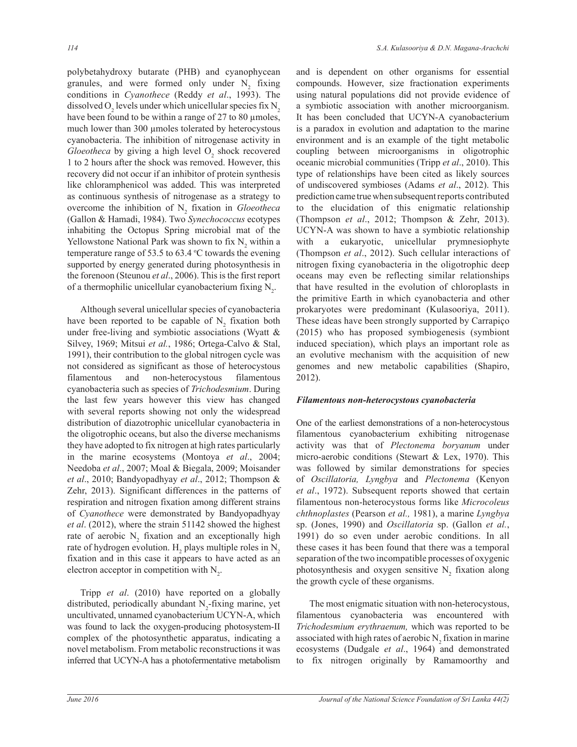polybetahydroxy butarate (PHB) and cyanophycean granules, and were formed only under  $N_2$  fixing conditions in *Cyanothece* (Reddy *et al*., 1993). The dissolved  $O_2$  levels under which unicellular species fix  $N_2$ have been found to be within a range of 27 to 80 µmoles, much lower than 300 µmoles tolerated by heterocystous cyanobacteria. The inhibition of nitrogenase activity in *Gloeotheca* by giving a high level  $O_2$  shock recovered 1 to 2 hours after the shock was removed. However, this recovery did not occur if an inhibitor of protein synthesis like chloramphenicol was added. This was interpreted as continuous synthesis of nitrogenase as a strategy to overcome the inhibition of  $N_2$  fixation in *Gloeotheca* (Gallon & Hamadi, 1984). Two *Synechococcus* ecotypes inhabiting the Octopus Spring microbial mat of the Yellowstone National Park was shown to fix  $N_2$  within a temperature range of 53.5 to 63.4  $\degree$ C towards the evening supported by energy generated during photosynthesis in the forenoon (Steunou *et al*., 2006). This is the first report of a thermophilic unicellular cyanobacterium fixing  $N_2$ .

 Although several unicellular species of cyanobacteria have been reported to be capable of  $N_2$  fixation both under free-living and symbiotic associations (Wyatt  $\&$ Silvey, 1969; Mitsui *et al.*, 1986; Ortega-Calvo & Stal, 1991), their contribution to the global nitrogen cycle was not considered as significant as those of heterocystous filamentous and non-heterocystous filamentous cyanobacteria such as species of *Trichodesmium*. During the last few years however this view has changed with several reports showing not only the widespread distribution of diazotrophic unicellular cyanobacteria in the oligotrophic oceans, but also the diverse mechanisms they have adopted to fix nitrogen at high rates particularly in the marine ecosystems (Montoya *et al*., 2004; Needoba *et al*., 2007; Moal & Biegala, 2009; Moisander *et al*., 2010; Bandyopadhyay *et al*., 2012; Thompson & Zehr, 2013). Significant differences in the patterns of respiration and nitrogen fixation among different strains of *Cyanothece* were demonstrated by Bandyopadhyay *et al*. (2012), where the strain 51142 showed the highest rate of aerobic  $N_2$  fixation and an exceptionally high rate of hydrogen evolution.  $H_2$  plays multiple roles in  $N_2$ fixation and in this case it appears to have acted as an electron acceptor in competition with  $N_2$ .

 Tripp *et al*. (2010) have reported on a globally distributed, periodically abundant  $N_2$ -fixing marine, yet uncultivated, unnamed cyanobacterium UCYN-A, which was found to lack the oxygen-producing photosystem-II complex of the photosynthetic apparatus, indicating a novel metabolism. From metabolic reconstructions it was inferred that UCYN-A has a photofermentative metabolism

and is dependent on other organisms for essential compounds. However, size fractionation experiments using natural populations did not provide evidence of a symbiotic association with another microorganism. It has been concluded that UCYN-A cyanobacterium is a paradox in evolution and adaptation to the marine environment and is an example of the tight metabolic coupling between microorganisms in oligotrophic oceanic microbial communities (Tripp *et al*., 2010). This type of relationships have been cited as likely sources of undiscovered symbioses (Adams *et al*., 2012). This prediction came true when subsequent reports contributed to the elucidation of this enigmatic relationship (Thompson *et al*., 2012; Thompson & Zehr, 2013). UCYN-A was shown to have a symbiotic relationship with a eukaryotic, unicellular prymnesiophyte (Thompson *et al*., 2012). Such cellular interactions of nitrogen fixing cyanobacteria in the oligotrophic deep oceans may even be reflecting similar relationships that have resulted in the evolution of chloroplasts in the primitive Earth in which cyanobacteria and other prokaryotes were predominant (Kulasooriya, 2011). These ideas have been strongly supported by Carrapiço (2015) who has proposed symbiogenesis (symbiont induced speciation), which plays an important role as an evolutive mechanism with the acquisition of new genomes and new metabolic capabilities (Shapiro, 2012).

#### *Filamentous non-heterocystous cyanobacteria*

One of the earliest demonstrations of a non-heterocystous filamentous cyanobacterium exhibiting nitrogenase activity was that of *Plectonema boryanum* under micro-aerobic conditions (Stewart & Lex, 1970). This was followed by similar demonstrations for species of *Oscillatoria, Lyngbya* and *Plectonema* (Kenyon *et al*., 1972). Subsequent reports showed that certain filamentous non-heterocystous forms like *Microcoleus chthnoplastes* (Pearson *et al.,* 1981), a marine *Lyngbya*  sp. (Jones, 1990) and *Oscillatoria* sp. (Gallon *et al.*, 1991) do so even under aerobic conditions. In all these cases it has been found that there was a temporal separation of the two incompatible processes of oxygenic photosynthesis and oxygen sensitive  $N_2$  fixation along the growth cycle of these organisms.

 The most enigmatic situation with non-heterocystous, filamentous cyanobacteria was encountered with *Trichodesmium erythraenum,* which was reported to be associated with high rates of aerobic  $N_2$  fixation in marine ecosystems (Dudgale *et al*., 1964) and demonstrated to fix nitrogen originally by Ramamoorthy and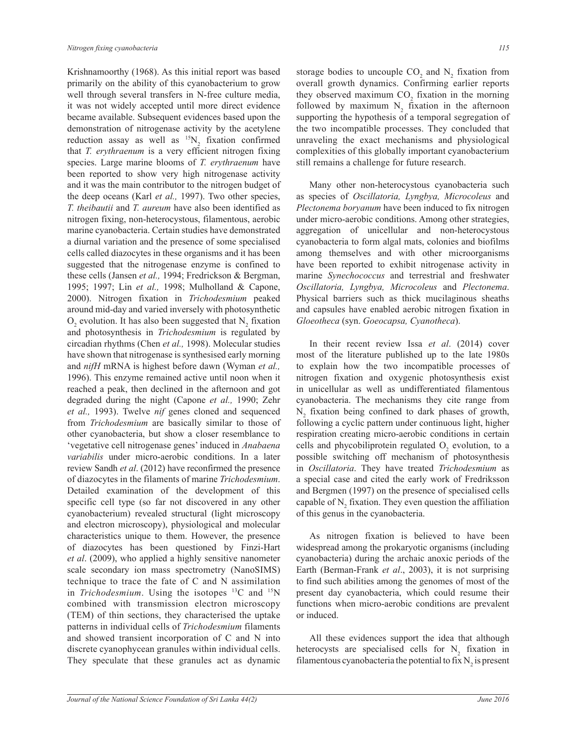Krishnamoorthy (1968). As this initial report was based primarily on the ability of this cyanobacterium to grow well through several transfers in N-free culture media, it was not widely accepted until more direct evidence became available. Subsequent evidences based upon the demonstration of nitrogenase activity by the acetylene reduction assay as well as  $^{15}N_2$  fixation confirmed that *T. erythraenum* is a very efficient nitrogen fixing species. Large marine blooms of *T. erythraenum* have been reported to show very high nitrogenase activity and it was the main contributor to the nitrogen budget of the deep oceans (Karl *et al.,* 1997). Two other species, *T. theibautii* and *T. aureum* have also been identified as nitrogen fixing, non-heterocystous, filamentous, aerobic marine cyanobacteria. Certain studies have demonstrated a diurnal variation and the presence of some specialised cells called diazocytes in these organisms and it has been suggested that the nitrogenase enzyme is confined to these cells (Jansen *et al.,* 1994; Fredrickson & Bergman, 1995; 1997; Lin *et al.,* 1998; Mulholland & Capone, 2000). Nitrogen fixation in *Trichodesmium* peaked around mid-day and varied inversely with photosynthetic  $O_2$  evolution. It has also been suggested that  $N_2$  fixation and photosynthesis in *Trichodesmium* is regulated by circadian rhythms (Chen *et al.,* 1998). Molecular studies have shown that nitrogenase is synthesised early morning and *nifH* mRNA is highest before dawn (Wyman *et al.,*  1996). This enzyme remained active until noon when it reached a peak, then declined in the afternoon and got degraded during the night (Capone *et al.,* 1990; Zehr *et al.,* 1993). Twelve *nif* genes cloned and sequenced from *Trichodesmium* are basically similar to those of other cyanobacteria, but show a closer resemblance to 'vegetative cell nitrogenase genes' induced in *Anabaena variabilis* under micro-aerobic conditions. In a later review Sandh *et al*. (2012) have reconfirmed the presence of diazocytes in the filaments of marine *Trichodesmium*. Detailed examination of the development of this specific cell type (so far not discovered in any other cyanobacterium) revealed structural (light microscopy and electron microscopy), physiological and molecular characteristics unique to them. However, the presence of diazocytes has been questioned by Finzi-Hart *et al*. (2009), who applied a highly sensitive nanometer scale secondary ion mass spectrometry (NanoSIMS) technique to trace the fate of C and N assimilation in *Trichodesmium*. Using the isotopes <sup>13</sup>C and <sup>15</sup>N combined with transmission electron microscopy (TEM) of thin sections, they characterised the uptake patterns in individual cells of *Trichodesmium* filaments and showed transient incorporation of C and N into discrete cyanophycean granules within individual cells. They speculate that these granules act as dynamic

storage bodies to uncouple  $CO_2$  and  $N_2$  fixation from overall growth dynamics. Confirming earlier reports they observed maximum  $CO_2$  fixation in the morning followed by maximum  $N_2$  fixation in the afternoon supporting the hypothesis of a temporal segregation of the two incompatible processes. They concluded that unraveling the exact mechanisms and physiological complexities of this globally important cyanobacterium still remains a challenge for future research.

 Many other non-heterocystous cyanobacteria such as species of *Oscillatoria, Lyngbya, Microcoleus* and *Plectonema boryanum* have been induced to fix nitrogen under micro-aerobic conditions. Among other strategies, aggregation of unicellular and non-heterocystous cyanobacteria to form algal mats, colonies and biofilms among themselves and with other microorganisms have been reported to exhibit nitrogenase activity in marine *Synechococcus* and terrestrial and freshwater *Oscillatoria, Lyngbya, Microcoleus* and *Plectonema*. Physical barriers such as thick mucilaginous sheaths and capsules have enabled aerobic nitrogen fixation in *Gloeotheca* (syn. *Goeocapsa, Cyanotheca*).

 In their recent review Issa *et al*. (2014) cover most of the literature published up to the late 1980s to explain how the two incompatible processes of nitrogen fixation and oxygenic photosynthesis exist in unicellular as well as undifferentiated filamentous cyanobacteria. The mechanisms they cite range from  $N_2$  fixation being confined to dark phases of growth, following a cyclic pattern under continuous light, higher respiration creating micro-aerobic conditions in certain cells and phycobiliprotein regulated  $O_2$  evolution, to a possible switching off mechanism of photosynthesis in *Oscillatoria*. They have treated *Trichodesmium* as a special case and cited the early work of Fredriksson and Bergmen (1997) on the presence of specialised cells capable of  $N_2$  fixation. They even question the affiliation of this genus in the cyanobacteria.

 As nitrogen fixation is believed to have been widespread among the prokaryotic organisms (including cyanobacteria) during the archaic anoxic periods of the Earth (Berman-Frank *et al*., 2003), it is not surprising to find such abilities among the genomes of most of the present day cyanobacteria, which could resume their functions when micro-aerobic conditions are prevalent or induced.

 All these evidences support the idea that although heterocysts are specialised cells for  $N_2$  fixation in filamentous cyanobacteria the potential to fix  $N_2$  is present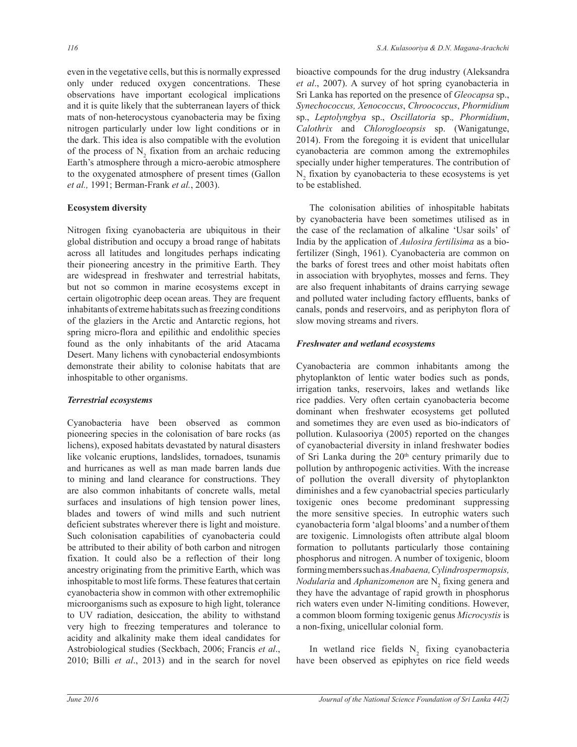even in the vegetative cells, but this is normally expressed only under reduced oxygen concentrations. These observations have important ecological implications and it is quite likely that the subterranean layers of thick mats of non-heterocystous cyanobacteria may be fixing nitrogen particularly under low light conditions or in the dark. This idea is also compatible with the evolution of the process of  $N_2$  fixation from an archaic reducing Earth's atmosphere through a micro-aerobic atmosphere to the oxygenated atmosphere of present times (Gallon *et al.,* 1991; Berman-Frank *et al.*, 2003).

# **Ecosystem diversity**

Nitrogen fixing cyanobacteria are ubiquitous in their global distribution and occupy a broad range of habitats across all latitudes and longitudes perhaps indicating their pioneering ancestry in the primitive Earth. They are widespread in freshwater and terrestrial habitats, but not so common in marine ecosystems except in certain oligotrophic deep ocean areas. They are frequent inhabitants of extreme habitats such as freezing conditions of the glaziers in the Arctic and Antarctic regions, hot spring micro-flora and epilithic and endolithic species found as the only inhabitants of the arid Atacama Desert. Many lichens with cynobacterial endosymbionts demonstrate their ability to colonise habitats that are inhospitable to other organisms.

# *Terrestrial ecosystems*

Cyanobacteria have been observed as common pioneering species in the colonisation of bare rocks (as lichens), exposed habitats devastated by natural disasters like volcanic eruptions, landslides, tornadoes, tsunamis and hurricanes as well as man made barren lands due to mining and land clearance for constructions. They are also common inhabitants of concrete walls, metal surfaces and insulations of high tension power lines, blades and towers of wind mills and such nutrient deficient substrates wherever there is light and moisture. Such colonisation capabilities of cyanobacteria could be attributed to their ability of both carbon and nitrogen fixation. It could also be a reflection of their long ancestry originating from the primitive Earth, which was inhospitable to most life forms. These features that certain cyanobacteria show in common with other extremophilic microorganisms such as exposure to high light, tolerance to UV radiation, desiccation, the ability to withstand very high to freezing temperatures and tolerance to acidity and alkalinity make them ideal candidates for Astrobiological studies (Seckbach, 2006; Francis *et al*., 2010; Billi *et al*., 2013) and in the search for novel

bioactive compounds for the drug industry (Aleksandra *et al*., 2007). A survey of hot spring cyanobacteria in Sri Lanka has reported on the presence of *Gleocapsa* sp., *Synechococcus, Xenococcus*, *Chroococcus*, *Phormidium*  sp., *Leptolyngbya* sp., *Oscillatoria* sp.*, Phormidium*, *Calothrix* and *Chlorogloeopsis* sp. (Wanigatunge, 2014). From the foregoing it is evident that unicellular cyanobacteria are common among the extremophiles specially under higher temperatures. The contribution of  $N<sub>2</sub>$  fixation by cyanobacteria to these ecosystems is yet to be established.

 The colonisation abilities of inhospitable habitats by cyanobacteria have been sometimes utilised as in the case of the reclamation of alkaline 'Usar soils' of India by the application of *Aulosira fertilisima* as a biofertilizer (Singh, 1961). Cyanobacteria are common on the barks of forest trees and other moist habitats often in association with bryophytes, mosses and ferns. They are also frequent inhabitants of drains carrying sewage and polluted water including factory effluents, banks of canals, ponds and reservoirs, and as periphyton flora of slow moving streams and rivers.

# *Freshwater and wetland ecosystems*

Cyanobacteria are common inhabitants among the phytoplankton of lentic water bodies such as ponds, irrigation tanks, reservoirs, lakes and wetlands like rice paddies. Very often certain cyanobacteria become dominant when freshwater ecosystems get polluted and sometimes they are even used as bio-indicators of pollution. Kulasooriya (2005) reported on the changes of cyanobacterial diversity in inland freshwater bodies of Sri Lanka during the  $20<sup>th</sup>$  century primarily due to pollution by anthropogenic activities. With the increase of pollution the overall diversity of phytoplankton diminishes and a few cyanobactrial species particularly toxigenic ones become predominant suppressing the more sensitive species. In eutrophic waters such cyanobacteria form 'algal blooms' and a number of them are toxigenic. Limnologists often attribute algal bloom formation to pollutants particularly those containing phosphorus and nitrogen. A number of toxigenic, bloom forming members such as *Anabaena, Cylindrospermopsis, Nodularia* and *Aphanizomenon* are N<sub>2</sub> fixing genera and they have the advantage of rapid growth in phosphorus rich waters even under N-limiting conditions. However, a common bloom forming toxigenic genus *Microcystis* is a non-fixing, unicellular colonial form.

In wetland rice fields  $N_2$  fixing cyanobacteria have been observed as epiphytes on rice field weeds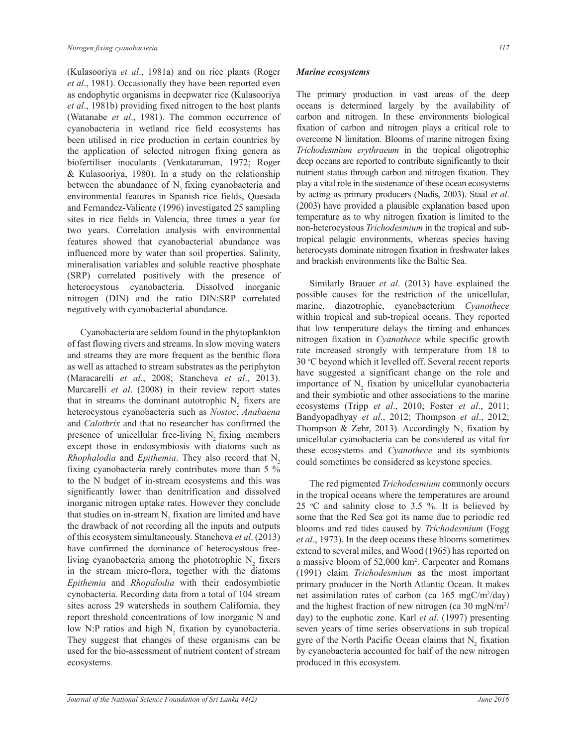(Kulasooriya *et al*., 1981a) and on rice plants (Roger *et al*., 1981). Occasionally they have been reported even as endophytic organisms in deepwater rice (Kulasooriya *et al*., 1981b) providing fixed nitrogen to the host plants (Watanabe *et al*., 1981). The common occurrence of cyanobacteria in wetland rice field ecosystems has been utilised in rice production in certain countries by the application of selected nitrogen fixing genera as biofertiliser inoculants (Venkataraman, 1972; Roger & Kulasooriya, 1980). In a study on the relationship between the abundance of  $N<sub>2</sub>$  fixing cyanobacteria and environmental features in Spanish rice fields, Quesada and Fernandez-Valiente (1996) investigated 25 sampling sites in rice fields in Valencia, three times a year for two years. Correlation analysis with environmental features showed that cyanobacterial abundance was influenced more by water than soil properties. Salinity, mineralisation variables and soluble reactive phosphate (SRP) correlated positively with the presence of heterocystous cyanobacteria. Dissolved inorganic nitrogen (DIN) and the ratio DIN:SRP correlated negatively with cyanobacterial abundance.

 Cyanobacteria are seldom found in the phytoplankton of fast flowing rivers and streams. In slow moving waters and streams they are more frequent as the benthic flora as well as attached to stream substrates as the periphyton (Maracarelli *et al*., 2008; Stancheva *et al*., 2013). Marcarelli *et al*. (2008) in their review report states that in streams the dominant autotrophic  $N_2$  fixers are heterocystous cyanobacteria such as *Nostoc*, *Anabaena* and *Calothrix* and that no researcher has confirmed the presence of unicellular free-living  $N_2$  fixing members except those in endosymbiosis with diatoms such as *Rhophalodia* and *Epithemia*. They also record that N<sub>2</sub> fixing cyanobacteria rarely contributes more than 5 % to the N budget of in-stream ecosystems and this was significantly lower than denitrification and dissolved inorganic nitrogen uptake rates. However they conclude that studies on in-stream  $N_2$  fixation are limited and have the drawback of not recording all the inputs and outputs of this ecosystem simultaneously. Stancheva *et al*. (2013) have confirmed the dominance of heterocystous freeliving cyanobacteria among the phototrophic  $N_2$  fixers in the stream micro-flora, together with the diatoms *Epithemia* and *Rhopalodia* with their endosymbiotic cynobacteria. Recording data from a total of 104 stream sites across 29 watersheds in southern California, they report threshold concentrations of low inorganic N and low N:P ratios and high  $N_2$  fixation by cyanobacteria. They suggest that changes of these organisms can be used for the bio-assessment of nutrient content of stream ecosystems.

# *Marine ecosystems*

The primary production in vast areas of the deep oceans is determined largely by the availability of carbon and nitrogen. In these environments biological fixation of carbon and nitrogen plays a critical role to overcome N limitation. Blooms of marine nitrogen fixing *Trichodesmium erythraeum* in the tropical oligotrophic deep oceans are reported to contribute significantly to their nutrient status through carbon and nitrogen fixation. They play a vital role in the sustenance of these ocean ecosystems by acting as primary producers (Nadis, 2003). Staal *et al*. (2003) have provided a plausible explanation based upon temperature as to why nitrogen fixation is limited to the non-heterocystous *Trichodesmium* in the tropical and subtropical pelagic environments, whereas species having heterocysts dominate nitrogen fixation in freshwater lakes and brackish environments like the Baltic Sea.

 Similarly Brauer *et al*. (2013) have explained the possible causes for the restriction of the unicellular, marine, diazotrophic, cyanobacterium *Cyanothece* within tropical and sub-tropical oceans. They reported that low temperature delays the timing and enhances nitrogen fixation in *Cyanothece* while specific growth rate increased strongly with temperature from 18 to 30 °C beyond which it levelled off. Several recent reports have suggested a significant change on the role and importance of  $N_2$  fixation by unicellular cyanobacteria and their symbiotic and other associations to the marine ecosystems (Tripp *et al*., 2010; Foster *et al*., 2011; Bandyopadhyay *et al*., 2012; Thompson *et al*., 2012; Thompson & Zehr, 2013). Accordingly  $N_2$  fixation by unicellular cyanobacteria can be considered as vital for these ecosystems and *Cyanothece* and its symbionts could sometimes be considered as keystone species.

 The red pigmented *Trichodesmium* commonly occurs in the tropical oceans where the temperatures are around 25  $\degree$ C and salinity close to 3.5 %. It is believed by some that the Red Sea got its name due to periodic red blooms and red tides caused by *Trichodesmium* (Fogg *et al*., 1973). In the deep oceans these blooms sometimes extend to several miles, and Wood (1965) has reported on a massive bloom of 52,000 km<sup>2</sup> . Carpenter and Romans (1991) claim *Trichodesmium* as the most important primary producer in the North Atlantic Ocean. It makes net assimilation rates of carbon (ca  $165 \text{ mgC/m}^2/\text{day}$ ) and the highest fraction of new nitrogen (ca 30 mgN/m<sup>2</sup>/ day) to the euphotic zone. Karl *et al*. (1997) presenting seven years of time series observations in sub tropical gyre of the North Pacific Ocean claims that  $N_2$  fixation by cyanobacteria accounted for half of the new nitrogen produced in this ecosystem.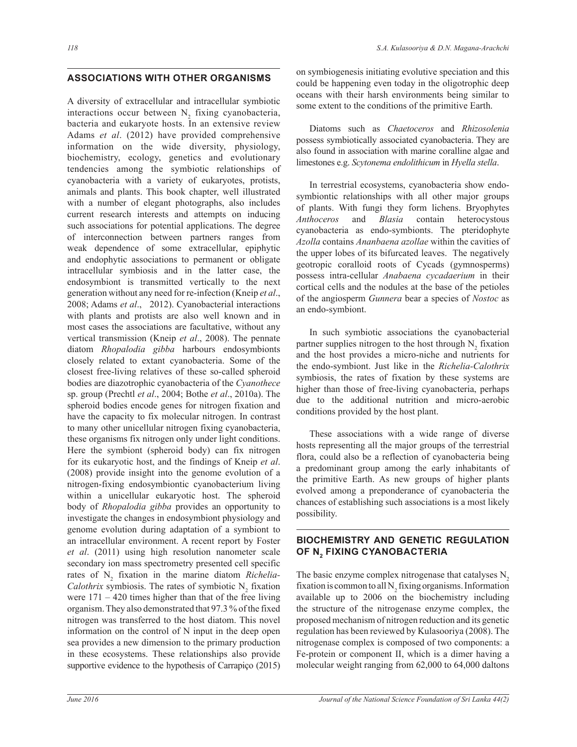## $\overline{a}$ **ASSOCIATIONS WITH OTHER ORGANISMS**

A diversity of extracellular and intracellular symbiotic interactions occur between  $N_2$  fixing cyanobacteria, bacteria and eukaryote hosts. In an extensive review Adams *et al*. (2012) have provided comprehensive information on the wide diversity, physiology, biochemistry, ecology, genetics and evolutionary tendencies among the symbiotic relationships of cyanobacteria with a variety of eukaryotes, protists, animals and plants. This book chapter, well illustrated with a number of elegant photographs, also includes current research interests and attempts on inducing such associations for potential applications. The degree of interconnection between partners ranges from weak dependence of some extracellular, epiphytic and endophytic associations to permanent or obligate intracellular symbiosis and in the latter case, the endosymbiont is transmitted vertically to the next generation without any need for re-infection (Kneip *et al*., 2008; Adams *et al*., 2012). Cyanobacterial interactions with plants and protists are also well known and in most cases the associations are facultative, without any vertical transmission (Kneip *et al*., 2008). The pennate diatom *Rhopalodia gibba* harbours endosymbionts closely related to extant cyanobacteria. Some of the closest free-living relatives of these so-called spheroid bodies are diazotrophic cyanobacteria of the *Cyanothece*  sp. group (Prechtl *et al*., 2004; Bothe *et al*., 2010a). The spheroid bodies encode genes for nitrogen fixation and have the capacity to fix molecular nitrogen. In contrast to many other unicellular nitrogen fixing cyanobacteria, these organisms fix nitrogen only under light conditions. Here the symbiont (spheroid body) can fix nitrogen for its eukaryotic host, and the findings of Kneip *et al*. (2008) provide insight into the genome evolution of a nitrogen-fixing endosymbiontic cyanobacterium living within a unicellular eukaryotic host. The spheroid body of *Rhopalodia gibba* provides an opportunity to investigate the changes in endosymbiont physiology and genome evolution during adaptation of a symbiont to an intracellular environment. A recent report by Foster *et al*. (2011) using high resolution nanometer scale secondary ion mass spectrometry presented cell specific rates of N<sub>2</sub> fixation in the marine diatom *Richelia*-*Calothrix* symbiosis. The rates of symbiotic  $N_2$  fixation were  $171 - 420$  times higher than that of the free living organism. They also demonstrated that 97.3 % of the fixed nitrogen was transferred to the host diatom. This novel information on the control of N input in the deep open sea provides a new dimension to the primary production in these ecosystems. These relationships also provide supportive evidence to the hypothesis of Carrapiço (2015)

on symbiogenesis initiating evolutive speciation and this could be happening even today in the oligotrophic deep oceans with their harsh environments being similar to some extent to the conditions of the primitive Earth.

 Diatoms such as *Chaetoceros* and *Rhizosolenia* possess symbiotically associated cyanobacteria. They are also found in association with marine coralline algae and limestones e.g. *Scytonema endolithicum* in *Hyella stella*.

 In terrestrial ecosystems, cyanobacteria show endosymbiontic relationships with all other major groups of plants. With fungi they form lichens. Bryophytes *Anthoceros* and *Blasia* contain heterocystous cyanobacteria as endo-symbionts. The pteridophyte *Azolla* contains *Ananbaena azollae* within the cavities of the upper lobes of its bifurcated leaves. The negatively geotropic coralloid roots of Cycads (gymnosperms) possess intra-cellular *Anabaena cycadaerium* in their cortical cells and the nodules at the base of the petioles of the angiosperm *Gunnera* bear a species of *Nostoc* as an endo-symbiont.

 In such symbiotic associations the cyanobacterial partner supplies nitrogen to the host through  $N_2$  fixation and the host provides a micro-niche and nutrients for the endo-symbiont. Just like in the *Richelia-Calothrix* symbiosis, the rates of fixation by these systems are higher than those of free-living cyanobacteria, perhaps due to the additional nutrition and micro-aerobic conditions provided by the host plant.

 These associations with a wide range of diverse hosts representing all the major groups of the terrestrial flora, could also be a reflection of cyanobacteria being a predominant group among the early inhabitants of the primitive Earth. As new groups of higher plants evolved among a preponderance of cyanobacteria the chances of establishing such associations is a most likely possibility.

# **BIOCHEMISTRY AND GENETIC REGULATION OF N<sup>2</sup> FIXING CYANOBACTERIA**

The basic enzyme complex nitrogenase that catalyses  $N<sub>2</sub>$ fixation is common to all  $N_2$  fixing organisms. Information available up to 2006 on the biochemistry including the structure of the nitrogenase enzyme complex, the proposed mechanism of nitrogen reduction and its genetic regulation has been reviewed by Kulasooriya (2008). The nitrogenase complex is composed of two components: a Fe-protein or component II, which is a dimer having a molecular weight ranging from 62,000 to 64,000 daltons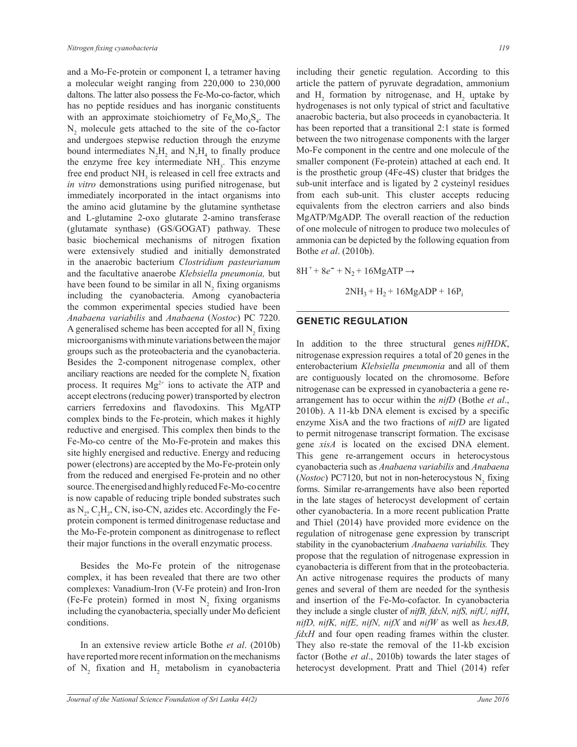and a Mo-Fe-protein or component I, a tetramer having a molecular weight ranging from 220,000 to 230,000 daltons. The latter also possess the Fe-Mo-co-factor, which has no peptide residues and has inorganic constituents with an approximate stoichiometry of  $Fe<sub>6</sub>Mo<sub>4</sub>S<sub>4</sub>$ . The  $N_2$  molecule gets attached to the site of the co-factor and undergoes stepwise reduction through the enzyme bound intermediates  $N_2H_2$  and  $N_2H_4$  to finally produce the enzyme free key intermediate  $NH<sub>3</sub>$ . This enzyme free end product  $NH<sub>3</sub>$  is released in cell free extracts and *in vitro* demonstrations using purified nitrogenase, but immediately incorporated in the intact organisms into the amino acid glutamine by the glutamine synthetase and L-glutamine 2-oxo glutarate 2-amino transferase (glutamate synthase) (GS/GOGAT) pathway. These basic biochemical mechanisms of nitrogen fixation were extensively studied and initially demonstrated in the anaerobic bacterium *Clostridium pasteurianum* and the facultative anaerobe *Klebsiella pneumonia,* but have been found to be similar in all  $N_2$  fixing organisms including the cyanobacteria. Among cyanobacteria the common experimental species studied have been *Anabaena variabilis* and *Anabaena* (*Nostoc*) PC 7220. A generalised scheme has been accepted for all  $N_2$  fixing microorganisms with minute variations between the major groups such as the proteobacteria and the cyanobacteria. Besides the 2-component nitrogenase complex, other anciliary reactions are needed for the complete  $N_2$  fixation process. It requires  $Mg^{2+}$  ions to activate the ATP and accept electrons (reducing power) transported by electron carriers ferredoxins and flavodoxins. This MgATP complex binds to the Fe-protein, which makes it highly reductive and energised. This complex then binds to the Fe-Mo-co centre of the Mo-Fe-protein and makes this site highly energised and reductive. Energy and reducing power (electrons) are accepted by the Mo-Fe-protein only from the reduced and energised Fe-protein and no other source. The energised and highly reduced Fe-Mo-co centre is now capable of reducing triple bonded substrates such as  $N_2$ ,  $C_2H_2$ , CN, iso-CN, azides etc. Accordingly the Feprotein component is termed dinitrogenase reductase and the Mo-Fe-protein component as dinitrogenase to reflect their major functions in the overall enzymatic process.

 Besides the Mo-Fe protein of the nitrogenase complex, it has been revealed that there are two other complexes: Vanadium-Iron (V-Fe protein) and Iron-Iron (Fe-Fe protein) formed in most  $N_2$  fixing organisms including the cyanobacteria, specially under Mo deficient conditions.

 In an extensive review article Bothe *et al*. (2010b) have reported more recent information on the mechanisms of  $N_2$  fixation and  $H_2$  metabolism in cyanobacteria including their genetic regulation. According to this article the pattern of pyruvate degradation, ammonium and  $H_2$  formation by nitrogenase, and  $H_2$  uptake by hydrogenases is not only typical of strict and facultative anaerobic bacteria, but also proceeds in cyanobacteria. It has been reported that a transitional 2:1 state is formed between the two nitrogenase components with the larger Mo-Fe component in the centre and one molecule of the smaller component (Fe-protein) attached at each end. It is the prosthetic group (4Fe-4S) cluster that bridges the sub-unit interface and is ligated by 2 cysteinyl residues from each sub-unit. This cluster accepts reducing equivalents from the electron carriers and also binds MgATP/MgADP. The overall reaction of the reduction of one molecule of nitrogen to produce two molecules of ammonia can be depicted by the following equation from Bothe *et al*. (2010b).

 $8H^+ + 8e^- + N_2 + 16MgATP \rightarrow$  $2NH_3 + H_2 + 16MgADP + 16P_i$ 

## **GENETIC REGULATION**

In addition to the three structural genes *nifHDK*, nitrogenase expression requires a total of 20 genes in the enterobacterium *Klebsiella pneumonia* and all of them are contiguously located on the chromosome. Before nitrogenase can be expressed in cyanobacteria a gene rearrangement has to occur within the *nifD* (Bothe *et al*., 2010b). A 11-kb DNA element is excised by a specific enzyme XisA and the two fractions of *nifD* are ligated to permit nitrogenase transcript formation. The excisase gene *xisA* is located on the excised DNA element. This gene re-arrangement occurs in heterocystous cyanobacteria such as *Anabaena variabilis* and *Anabaena* (*Nostoc*) PC7120, but not in non-heterocystous  $N_2$  fixing forms. Similar re-arrangements have also been reported in the late stages of heterocyst development of certain other cyanobacteria. In a more recent publication Pratte and Thiel (2014) have provided more evidence on the regulation of nitrogenase gene expression by transcript stability in the cyanobacterium *Anabaena variabilis.* They propose that the regulation of nitrogenase expression in cyanobacteria is different from that in the proteobacteria. An active nitrogenase requires the products of many genes and several of them are needed for the synthesis and insertion of the Fe-Mo-cofactor. In cyanobacteria they include a single cluster of *nifB, fdxN, nifS, nifU, nifH*, *nifD, nifK, nifE, nifN, nifX* and *nifW* as well as *hesAB, fdxH* and four open reading frames within the cluster. They also re-state the removal of the 11-kb excision factor (Bothe *et al*., 2010b) towards the later stages of heterocyst development. Pratt and Thiel (2014) refer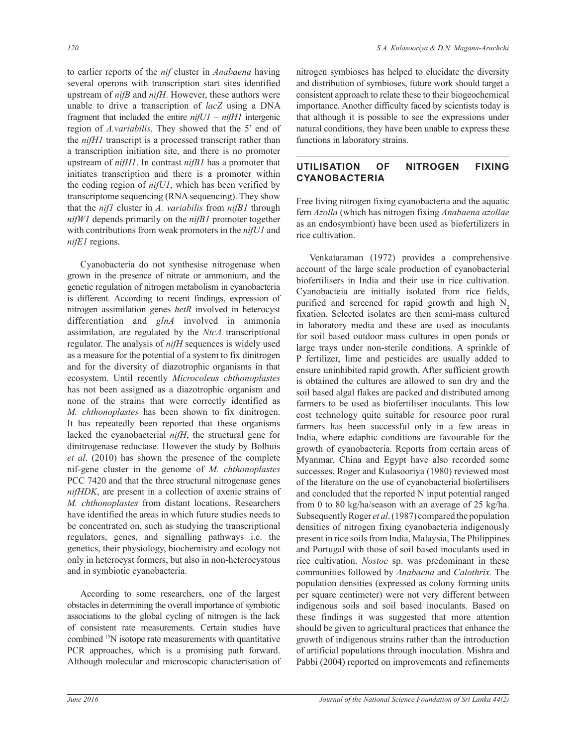to earlier reports of the *nif* cluster in *Anabaena* having several operons with transcription start sites identified upstream of *nifB* and *nifH*. However, these authors were unable to drive a transcription of *lacZ* using a DNA fragment that included the entire *nifU1 – nifH1* intergenic region of *A.variabilis*. They showed that the 5' end of the *nifH1* transcript is a processed transcript rather than a transcription initiation site, and there is no promoter upstream of *nifH1*. In contrast *nifB1* has a promoter that initiates transcription and there is a promoter within the coding region of *nifU1*, which has been verified by transcriptome sequencing (RNA sequencing). They show that the *nif1* cluster in *A. variabilis* from *nifB1* through *nifW1* depends primarily on the *nifB1* promoter together with contributions from weak promoters in the *nifU1* and *nifE1* regions.

 Cyanobacteria do not synthesise nitrogenase when grown in the presence of nitrate or ammonium, and the genetic regulation of nitrogen metabolism in cyanobacteria is different. According to recent findings, expression of nitrogen assimilation genes *hetR* involved in heterocyst differentiation and *glnA* involved in ammonia assimilation, are regulated by the *NtcA* transcriptional regulator. The analysis of *nifH* sequences is widely used as a measure for the potential of a system to fix dinitrogen and for the diversity of diazotrophic organisms in that ecosystem. Until recently *Microcoleus chthonoplastes* has not been assigned as a diazotrophic organism and none of the strains that were correctly identified as *M. chthonoplastes* has been shown to fix dinitrogen. It has repeatedly been reported that these organisms lacked the cyanobacterial *nifH*, the structural gene for dinitrogenase reductase. However the study by Bolhuis *et al*. (2010) has shown the presence of the complete nif-gene cluster in the genome of *M. chthonoplastes* PCC 7420 and that the three structural nitrogenase genes *nifHDK*, are present in a collection of axenic strains of *M. chthonoplastes* from distant locations. Researchers have identified the areas in which future studies needs to be concentrated on, such as studying the transcriptional regulators, genes, and signalling pathways i.e. the genetics, their physiology, biochemistry and ecology not only in heterocyst formers, but also in non-heterocystous and in symbiotic cyanobacteria.

 According to some researchers, one of the largest obstacles in determining the overall importance of symbiotic associations to the global cycling of nitrogen is the lack of consistent rate measurements. Certain studies have combined <sup>15</sup>N isotope rate measurements with quantitative PCR approaches, which is a promising path forward. Although molecular and microscopic characterisation of nitrogen symbioses has helped to elucidate the diversity and distribution of symbioses, future work should target a consistent approach to relate these to their biogeochemical importance. Another difficulty faced by scientists today is that although it is possible to see the expressions under natural conditions, they have been unable to express these functions in laboratory strains.

# **UTILISATION OF NITROGEN FIXING CYANOBACTERIA**

Free living nitrogen fixing cyanobacteria and the aquatic fern *Azolla* (which has nitrogen fixing *Anabaena azollae*  as an endosymbiont) have been used as biofertilizers in rice cultivation.

 Venkataraman (1972) provides a comprehensive account of the large scale production of cyanobacterial biofertilisers in India and their use in rice cultivation. Cyanobacteia are initially isolated from rice fields, purified and screened for rapid growth and high  $N<sub>2</sub>$ fixation. Selected isolates are then semi-mass cultured in laboratory media and these are used as inoculants for soil based outdoor mass cultures in open ponds or large trays under non-sterile conditions. A sprinkle of P fertilizer, lime and pesticides are usually added to ensure uninhibited rapid growth. After sufficient growth is obtained the cultures are allowed to sun dry and the soil based algal flakes are packed and distributed among farmers to be used as biofertiliser inoculants. This low cost technology quite suitable for resource poor rural farmers has been successful only in a few areas in India, where edaphic conditions are favourable for the growth of cyanobacteria. Reports from certain areas of Myanmar, China and Egypt have also recorded some successes. Roger and Kulasooriya (1980) reviewed most of the literature on the use of cyanobacterial biofertilisers and concluded that the reported N input potential ranged from 0 to 80 kg/ha/season with an average of 25 kg/ha. Subsequently Roger *et al*. (1987) compared the population densities of nitrogen fixing cyanobacteria indigenously present in rice soils from India, Malaysia, The Philippines and Portugal with those of soil based inoculants used in rice cultivation. *Nostoc* sp. was predominant in these communities followed by *Anabaena* and *Calothrix.* The population densities (expressed as colony forming units per square centimeter) were not very different between indigenous soils and soil based inoculants. Based on these findings it was suggested that more attention should be given to agricultural practices that enhance the growth of indigenous strains rather than the introduction of artificial populations through inoculation. Mishra and Pabbi (2004) reported on improvements and refinements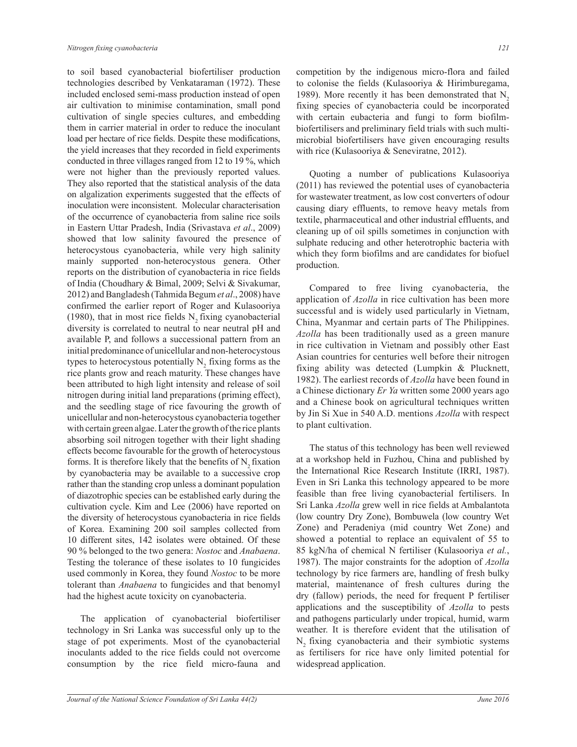to soil based cyanobacterial biofertiliser production technologies described by Venkataraman (1972). These included enclosed semi-mass production instead of open air cultivation to minimise contamination, small pond cultivation of single species cultures, and embedding them in carrier material in order to reduce the inoculant load per hectare of rice fields. Despite these modifications, the yield increases that they recorded in field experiments conducted in three villages ranged from 12 to 19 %, which were not higher than the previously reported values. They also reported that the statistical analysis of the data on algalization experiments suggested that the effects of inoculation were inconsistent. Molecular characterisation of the occurrence of cyanobacteria from saline rice soils in Eastern Uttar Pradesh, India (Srivastava *et al*., 2009) showed that low salinity favoured the presence of heterocystous cyanobacteria, while very high salinity mainly supported non-heterocystous genera. Other reports on the distribution of cyanobacteria in rice fields of India (Choudhary & Bimal, 2009; Selvi & Sivakumar, 2012) and Bangladesh (Tahmida Begum *et al*., 2008) have confirmed the earlier report of Roger and Kulasooriya  $(1980)$ , that in most rice fields N<sub>2</sub> fixing cyanobacterial diversity is correlated to neutral to near neutral pH and available P, and follows a successional pattern from an initial predominance of unicellular and non-heterocystous types to heterocystous potentially  $N_2$  fixing forms as the rice plants grow and reach maturity. These changes have been attributed to high light intensity and release of soil nitrogen during initial land preparations (priming effect), and the seedling stage of rice favouring the growth of unicellular and non-heterocystous cyanobacteria together with certain green algae. Later the growth of the rice plants absorbing soil nitrogen together with their light shading effects become favourable for the growth of heterocystous forms. It is therefore likely that the benefits of  $N<sub>2</sub>$  fixation by cyanobacteria may be available to a successive crop rather than the standing crop unless a dominant population of diazotrophic species can be established early during the cultivation cycle. Kim and Lee (2006) have reported on the diversity of heterocystous cyanobacteria in rice fields of Korea. Examining 200 soil samples collected from 10 different sites, 142 isolates were obtained. Of these 90 % belonged to the two genera: *Nostoc* and *Anabaena*. Testing the tolerance of these isolates to 10 fungicides used commonly in Korea, they found *Nostoc* to be more tolerant than *Anabaena* to fungicides and that benomyl had the highest acute toxicity on cyanobacteria.

 The application of cyanobacterial biofertiliser technology in Sri Lanka was successful only up to the stage of pot experiments. Most of the cyanobacterial inoculants added to the rice fields could not overcome consumption by the rice field micro-fauna and

competition by the indigenous micro-flora and failed to colonise the fields (Kulasooriya & Hirimburegama, 1989). More recently it has been demonstrated that  $N<sub>2</sub>$ fixing species of cyanobacteria could be incorporated with certain eubacteria and fungi to form biofilmbiofertilisers and preliminary field trials with such multimicrobial biofertilisers have given encouraging results with rice (Kulasooriya & Seneviratne, 2012).

 Quoting a number of publications Kulasooriya (2011) has reviewed the potential uses of cyanobacteria for wastewater treatment, as low cost converters of odour causing diary effluents, to remove heavy metals from textile, pharmaceutical and other industrial effluents, and cleaning up of oil spills sometimes in conjunction with sulphate reducing and other heterotrophic bacteria with which they form biofilms and are candidates for biofuel production.

 Compared to free living cyanobacteria, the application of *Azolla* in rice cultivation has been more successful and is widely used particularly in Vietnam, China, Myanmar and certain parts of The Philippines. *Azolla* has been traditionally used as a green manure in rice cultivation in Vietnam and possibly other East Asian countries for centuries well before their nitrogen fixing ability was detected (Lumpkin & Plucknett, 1982). The earliest records of *Azolla* have been found in a Chinese dictionary *Er Ya* written some 2000 years ago and a Chinese book on agricultural techniques written by Jin Si Xue in 540 A.D. mentions *Azolla* with respect to plant cultivation.

 The status of this technology has been well reviewed at a workshop held in Fuzhou, China and published by the International Rice Research Institute (IRRI, 1987). Even in Sri Lanka this technology appeared to be more feasible than free living cyanobacterial fertilisers. In Sri Lanka *Azolla* grew well in rice fields at Ambalantota (low country Dry Zone), Bombuwela (low country Wet Zone) and Peradeniya (mid country Wet Zone) and showed a potential to replace an equivalent of 55 to 85 kgN/ha of chemical N fertiliser (Kulasooriya *et al.*, 1987). The major constraints for the adoption of *Azolla* technology by rice farmers are, handling of fresh bulky material, maintenance of fresh cultures during the dry (fallow) periods, the need for frequent P fertiliser applications and the susceptibility of *Azolla* to pests and pathogens particularly under tropical, humid, warm weather. It is therefore evident that the utilisation of N<sub>2</sub> fixing cyanobacteria and their symbiotic systems as fertilisers for rice have only limited potential for widespread application.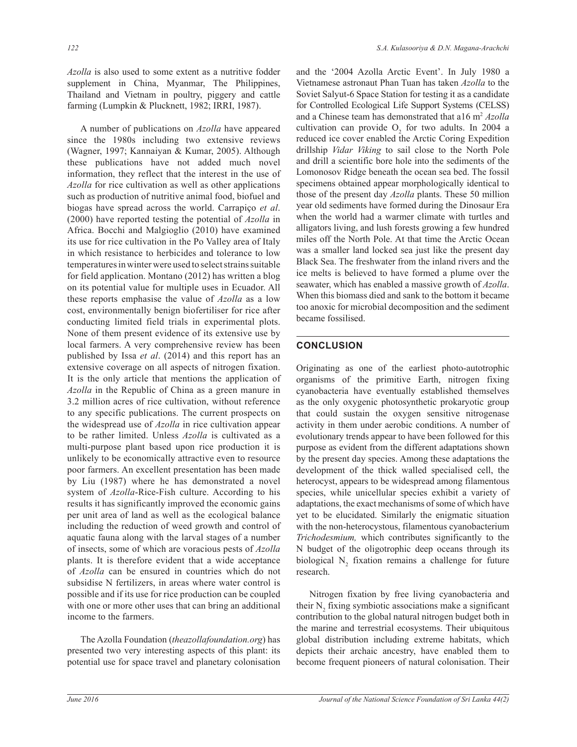*Azolla* is also used to some extent as a nutritive fodder supplement in China, Myanmar, The Philippines, Thailand and Vietnam in poultry, piggery and cattle farming (Lumpkin & Plucknett, 1982; IRRI, 1987).

 A number of publications on *Azolla* have appeared since the 1980s including two extensive reviews (Wagner, 1997; Kannaiyan & Kumar, 2005). Although these publications have not added much novel information, they reflect that the interest in the use of *Azolla* for rice cultivation as well as other applications such as production of nutritive animal food, biofuel and biogas have spread across the world. Carrapiço *et al*. (2000) have reported testing the potential of *Azolla* in Africa. Bocchi and Malgioglio (2010) have examined its use for rice cultivation in the Po Valley area of Italy in which resistance to herbicides and tolerance to low temperatures in winter were used to select strains suitable for field application. Montano (2012) has written a blog on its potential value for multiple uses in Ecuador. All these reports emphasise the value of *Azolla* as a low cost, environmentally benign biofertiliser for rice after conducting limited field trials in experimental plots. None of them present evidence of its extensive use by local farmers. A very comprehensive review has been published by Issa *et al*. (2014) and this report has an extensive coverage on all aspects of nitrogen fixation. It is the only article that mentions the application of *Azolla* in the Republic of China as a green manure in 3.2 million acres of rice cultivation, without reference to any specific publications. The current prospects on the widespread use of *Azolla* in rice cultivation appear to be rather limited. Unless *Azolla* is cultivated as a multi-purpose plant based upon rice production it is unlikely to be economically attractive even to resource poor farmers. An excellent presentation has been made by Liu (1987) where he has demonstrated a novel system of *Azolla*-Rice-Fish culture. According to his results it has significantly improved the economic gains per unit area of land as well as the ecological balance including the reduction of weed growth and control of aquatic fauna along with the larval stages of a number of insects, some of which are voracious pests of *Azolla* plants. It is therefore evident that a wide acceptance of *Azolla* can be ensured in countries which do not subsidise N fertilizers, in areas where water control is possible and if its use for rice production can be coupled with one or more other uses that can bring an additional income to the farmers.

 The Azolla Foundation (*theazollafoundation.org*) has presented two very interesting aspects of this plant: its potential use for space travel and planetary colonisation and the '2004 Azolla Arctic Event'. In July 1980 a Vietnamese astronaut Phan Tuan has taken *Azolla* to the Soviet Salyut-6 Space Station for testing it as a candidate for Controlled Ecological Life Support Systems (CELSS) and a Chinese team has demonstrated that a16 m<sup>2</sup> *Azolla* cultivation can provide  $O_2$  for two adults. In 2004 a reduced ice cover enabled the Arctic Coring Expedition drillship *Vidar Viking* to sail close to the North Pole and drill a scientific bore hole into the sediments of the Lomonosov Ridge beneath the ocean sea bed. The fossil specimens obtained appear morphologically identical to those of the present day *Azolla* plants. These 50 million year old sediments have formed during the Dinosaur Era when the world had a warmer climate with turtles and alligators living, and lush forests growing a few hundred miles off the North Pole. At that time the Arctic Ocean was a smaller land locked sea just like the present day Black Sea. The freshwater from the inland rivers and the ice melts is believed to have formed a plume over the seawater, which has enabled a massive growth of *Azolla*. When this biomass died and sank to the bottom it became too anoxic for microbial decomposition and the sediment became fossilised.

# **CONCLUSION**

Originating as one of the earliest photo-autotrophic organisms of the primitive Earth, nitrogen fixing cyanobacteria have eventually established themselves as the only oxygenic photosynthetic prokaryotic group that could sustain the oxygen sensitive nitrogenase activity in them under aerobic conditions. A number of evolutionary trends appear to have been followed for this purpose as evident from the different adaptations shown by the present day species. Among these adaptations the development of the thick walled specialised cell, the heterocyst, appears to be widespread among filamentous species, while unicellular species exhibit a variety of adaptations, the exact mechanisms of some of which have yet to be elucidated. Similarly the enigmatic situation with the non-heterocystous, filamentous cyanobacterium *Trichodesmium,* which contributes significantly to the N budget of the oligotrophic deep oceans through its biological  $N_2$  fixation remains a challenge for future research.

 Nitrogen fixation by free living cyanobacteria and their  $N_2$  fixing symbiotic associations make a significant contribution to the global natural nitrogen budget both in the marine and terrestrial ecosystems. Their ubiquitous global distribution including extreme habitats, which depicts their archaic ancestry, have enabled them to become frequent pioneers of natural colonisation. Their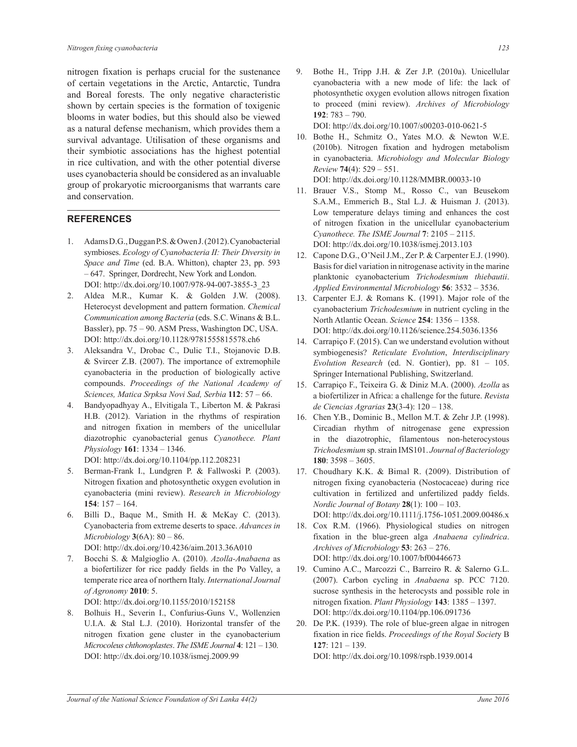nitrogen fixation is perhaps crucial for the sustenance of certain vegetations in the Arctic, Antarctic, Tundra and Boreal forests. The only negative characteristic shown by certain species is the formation of toxigenic blooms in water bodies, but this should also be viewed as a natural defense mechanism, which provides them a survival advantage. Utilisation of these organisms and their symbiotic associations has the highest potential in rice cultivation, and with the other potential diverse uses cyanobacteria should be considered as an invaluable group of prokaryotic microorganisms that warrants care and conservation.

# **REFERENCES**

- 1. Adams D.G., Duggan P.S. & Owen J. (2012). Cyanobacterial symbioses. *Ecology of Cyanobacteria II: Their Diversity in Space and Time* (ed. B.A. Whitton), chapter 23, pp. 593 – 647. Springer, Dordrecht, New York and London. DOI: http://dx.doi.org/10.1007/978-94-007-3855-3\_23
- 2. Aldea M.R., Kumar K. & Golden J.W. (2008). Heterocyst development and pattern formation. *Chemical Communication among Bacteria* (eds. S.C. Winans & B.L. Bassler), pp. 75 – 90. ASM Press, Washington DC, USA. DOI: http://dx.doi.org/10.1128/9781555815578.ch6
- 3. Aleksandra V., Drobac C., Dulic T.I., Stojanovic D.B. & Svircer Z.B. (2007). The importance of extremophile cyanobacteria in the production of biologically active compounds. *Proceedings of the National Academy of Sciences, Matica Srpksa Novi Sad, Serbia* **112**: 57 – 66.
- 4. Bandyopadhyay A., Elvitigala T., Liberton M. & Pakrasi H.B. (2012). Variation in the rhythms of respiration and nitrogen fixation in members of the unicellular diazotrophic cyanobacterial genus *Cyanothece. Plant Physiology* **161**: 1334 – 1346. DOI: http://dx.doi.org/10.1104/pp.112.208231
- 5. Berman-Frank I., Lundgren P. & Fallwoski P. (2003). Nitrogen fixation and photosynthetic oxygen evolution in cyanobacteria (mini review). *Research in Microbiology*  **154**: 157 – 164.
- 6. Billi D., Baque M., Smith H. & McKay C. (2013). Cyanobacteria from extreme deserts to space. *Advances in Microbiology* **3**(6A): 80 – 86. DOI: http://dx.doi.org/10.4236/aim.2013.36A010
- 7. Bocchi S. & Malgioglio A. (2010). *Azolla-Anabaena* as a biofertilizer for rice paddy fields in the Po Valley, a temperate rice area of northern Italy. *International Journal of Agronomy* **2010**: 5.

DOI: http://dx.doi.org/10.1155/2010/152158

8. Bolhuis H., Severin I., Confurius-Guns V., Wollenzien U.I.A. & Stal L.J. (2010). Horizontal transfer of the nitrogen fixation gene cluster in the cyanobacterium *Microcoleus chthonoplastes*. *The ISME Journal* **4**: 121 – 130. DOI: http://dx.doi.org/10.1038/ismej.2009.99

9. Bothe H., Tripp J.H. & Zer J.P. (2010a). Unicellular cyanobacteria with a new mode of life: the lack of photosynthetic oxygen evolution allows nitrogen fixation to proceed (mini review). *Archives of Microbiology* **192**: 783 – 790.

DOI: http://dx.doi.org/10.1007/s00203-010-0621-5

- 10. Bothe H., Schmitz O., Yates M.O. & Newton W.E. (2010b). Nitrogen fixation and hydrogen metabolism in cyanobacteria. *Microbiology and Molecular Biology Review* **74**(4): 529 – 551. DOI: http://dx.doi.org/10.1128/MMBR.00033-10
- 11. Brauer V.S., Stomp M., Rosso C., van Beusekom S.A.M., Emmerich B., Stal L.J. & Huisman J. (2013). Low temperature delays timing and enhances the cost of nitrogen fixation in the unicellular cyanobacterium

*Cyanothece. The ISME Journal* **7**: 2105 – 2115. DOI: http://dx.doi.org/10.1038/ismej.2013.103

- 12. Capone D.G., O'Neil J.M., Zer P. & Carpenter E.J. (1990). Basis for diel variation in nitrogenase activity in the marine planktonic cyanobacterium *Trichodesmium thiebautii*. *Applied Environmental Microbiology* **56**: 3532 – 3536.
- 13. Carpenter E.J. & Romans K. (1991). Major role of the cyanobacterium *Trichodesmium* in nutrient cycling in the North Atlantic Ocean. *Science* **254**: 1356 – 1358. DOI: http://dx.doi.org/10.1126/science.254.5036.1356
- 14. Carrapiço F. (2015). Can we understand evolution without symbiogenesis? *Reticulate Evolution*, *Interdisciplinary Evolution Research* (ed. N. Gontier), pp. 81 – 105. Springer International Publishing, Switzerland.
- 15. Carrapiço F., Teixeira G. & Diniz M.A. (2000). *Azolla* as a biofertilizer in Africa: a challenge for the future. *Revista de Ciencias Agrarias* **23**(3-4): 120 – 138.
- 16. Chen Y.B., Dominic B., Mellon M.T. & Zehr J.P. (1998). Circadian rhythm of nitrogenase gene expression in the diazotrophic, filamentous non-heterocystous *Trichodesmium* sp. strain IMS101. *Journal of Bacteriology* **180**: 3598 – 3605.
- 17. Choudhary K.K. & Bimal R. (2009). Distribution of nitrogen fixing cyanobacteria (Nostocaceae) during rice cultivation in fertilized and unfertilized paddy fields. *Nordic Journal of Botany* **28**(1): 100 – 103. DOI: http://dx.doi.org/10.1111/j.1756-1051.2009.00486.x
- 18. Cox R.M. (1966). Physiological studies on nitrogen fixation in the blue-green alga *Anabaena cylindrica*. *Archives of Microbiology* **53**: 263 – 276. DOI: http://dx.doi.org/10.1007/bf00446673
- 19. Cumino A.C., Marcozzi C., Barreiro R. & Salerno G.L. (2007). Carbon cycling in *Anabaena* sp. PCC 7120. sucrose synthesis in the heterocysts and possible role in nitrogen fixation. *Plant Physiology* **143**: 1385 – 1397. DOI: http://dx.doi.org/10.1104/pp.106.091736
- 20. De P.K. (1939). The role of blue-green algae in nitrogen fixation in rice fields. *Proceedings of the Royal Societ*y B **127**: 121 – 139. DOI: http://dx.doi.org/10.1098/rspb.1939.0014

*Journal of the National Science Foundation of Sri Lanka 44(2)* June 2016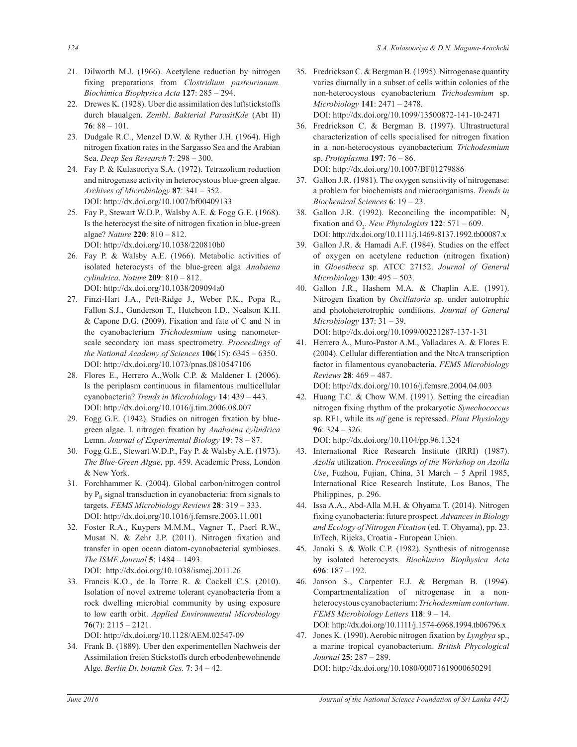- 21. Dilworth M.J. (1966). Acetylene reduction by nitrogen fixing preparations from *Clostridium pasteurianum. Biochimica Biophysica Acta* **127**: 285 – 294.
- 22. Drewes K. (1928). Uber die assimilation des luftstickstoffs durch blaualgen. *Zentbl*. *Bakterial ParasitKde* (Abt II) **76**: 88 – 101.
- 23. Dudgale R.C., Menzel D.W. & Ryther J.H. (1964). High nitrogen fixation rates in the Sargasso Sea and the Arabian Sea. *Deep Sea Research* **7**: 298 – 300.
- 24. Fay P. & Kulasooriya S.A. (1972). Tetrazolium reduction and nitrogenase activity in heterocystous blue-green algae. *Archives of Microbiology* **87**: 341 – 352. DOI: http://dx.doi.org/10.1007/bf00409133
- 25. Fay P., Stewart W.D.P., Walsby A.E. & Fogg G.E. (1968). Is the heterocyst the site of nitrogen fixation in blue-green algae? *Nature* **220**: 810 – 812. DOI: http://dx.doi.org/10.1038/220810b0
- 26. Fay P. & Walsby A.E. (1966). Metabolic activities of isolated heterocysts of the blue-green alga *Anabaena cylindrica*. *Nature* **209**: 810 – 812. DOI: http://dx.doi.org/10.1038/209094a0
- 27. Finzi-Hart J.A., Pett-Ridge J., Weber P.K., Popa R., Fallon S.J., Gunderson T., Hutcheon I.D., Nealson K.H. & Capone D.G. (2009). Fixation and fate of C and N in the cyanobacterium *Trichodesmium* using nanometerscale secondary ion mass spectrometry. *Proceedings of the National Academy of Sciences* **106**(15): 6345 – 6350. DOI: http://dx.doi.org/10.1073/pnas.0810547106
- 28. Flores E., Herrero A.,Wolk C.P. & Maldener I. (2006). Is the periplasm continuous in filamentous multicellular cyanobacteria? *Trends in Microbiology* **14**: 439 – 443. DOI: http://dx.doi.org/10.1016/j.tim.2006.08.007
- 29. Fogg G.E. (1942). Studies on nitrogen fixation by bluegreen algae. I. nitrogen fixation by *Anabaena cylindrica* Lemn. *Journal of Experimental Biology* **19**: 78 – 87.
- 30. Fogg G.E., Stewart W.D.P., Fay P. & Walsby A.E. (1973). *The Blue-Green Algae*, pp. 459. Academic Press, London & New York.
- 31. Forchhammer K. (2004). Global carbon/nitrogen control by  $P_{II}$  signal transduction in cyanobacteria: from signals to targets. *FEMS Microbiology Reviews* **28**: 319 – 333. DOI: http://dx.doi.org/10.1016/j.femsre.2003.11.001
- 32. Foster R.A., Kuypers M.M.M., Vagner T., Paerl R.W., Musat N. & Zehr J.P. (2011). Nitrogen fixation and transfer in open ocean diatom-cyanobacterial symbioses. *The ISME Journal* **5**: 1484 – 1493. DOI: http://dx.doi.org/10.1038/ismej.2011.26
- 33. Francis K.O., de la Torre R. & Cockell C.S. (2010). Isolation of novel extreme tolerant cyanobacteria from a rock dwelling microbial community by using exposure to low earth orbit. *Applied Environmental Microbiology* **76**(7): 2115 – 2121. DOI: http://dx.doi.org/10.1128/AEM.02547-09
- 34. Frank B. (1889). Uber den experimentellen Nachweis der Assimilation freien Stickstoffs durch erbodenbewohnende Alge. *Berlin Dt. botanik Ges.* **7**: 34 – 42.

35. Fredrickson C. & Bergman B. (1995). Nitrogenase quantity varies diurnally in a subset of cells within colonies of the non-heterocystous cyanobacterium *Trichodesmium* sp. *Microbiology* **141**: 2471 – 2478.

DOI: http://dx.doi.org/10.1099/13500872-141-10-2471

36. Fredrickson C. & Bergman B. (1997). Ultrastructural characterization of cells specialised for nitrogen fixation in a non-heterocystous cyanobacterium *Trichodesmium*  sp. *Protoplasma* **197**: 76 – 86.

DOI: http://dx.doi.org/10.1007/BF01279886

- 37. Gallon J.R. (1981). The oxygen sensitivity of nitrogenase: a problem for biochemists and microorganisms. *Trends in Biochemical Sciences* **6**: 19 – 23.
- 38. Gallon J.R. (1992). Reconciling the incompatible:  $N<sub>2</sub>$ fixation and  $O_2$ . *New Phytologists* **122**: 571 – 609. DOI: http://dx.doi.org/10.1111/j.1469-8137.1992.tb00087.x
- 39. Gallon J.R. & Hamadi A.F. (1984). Studies on the effect of oxygen on acetylene reduction (nitrogen fixation) in *Gloeotheca* sp. ATCC 27152. *Journal of General Microbiology* **130**: 495 – 503.
- 40. Gallon J.R., Hashem M.A. & Chaplin A.E. (1991). Nitrogen fixation by *Oscillatoria* sp. under autotrophic and photoheterotrophic conditions. *Journal of General Microbiology* **137**: 31 – 39. DOI: http://dx.doi.org/10.1099/00221287-137-1-31
- 41. Herrero A., Muro-Pastor A.M., Valladares A. & Flores E. (2004). Cellular differentiation and the NtcA transcription factor in filamentous cyanobacteria. *FEMS Microbiology Reviews* **28**: 469 – 487.

DOI: http://dx.doi.org/10.1016/j.femsre.2004.04.003

42. Huang T.C. & Chow W.M. (1991). Setting the circadian nitrogen fixing rhythm of the prokaryotic *Synechococcus* sp. RF1, while its *nif* gene is repressed. *Plant Physiology* **96**: 324 – 326.

DOI: http://dx.doi.org/10.1104/pp.96.1.324

- 43. International Rice Research Institute (IRRI) (1987). *Azolla* utilization. *Proceedings of the Workshop on Azolla Use*, Fuzhou, Fujian, China, 31 March – 5 April 1985, International Rice Research Institute, Los Banos, The Philippines, p. 296.
- 44. Issa A.A., Abd-Alla M.H. & Ohyama T. (2014). Nitrogen fixing cyanobacteria: future prospect. *Advances in Biology and Ecology of Nitrogen Fixation* (ed. T. Ohyama), pp. 23. InTech, Rijeka, Croatia - European Union.
- 45. Janaki S. & Wolk C.P. (1982). Synthesis of nitrogenase by isolated heterocysts. *Biochimica Biophysica Acta* **696**: 187 – 192.
- 46. Janson S., Carpenter E.J. & Bergman B. (1994). Compartmentalization of nitrogenase in a nonheterocystous cyanobacterium: *Trichodesmium contortum*. *FEMS Microbiology Letters* **118**: 9 – 14. DOI: http://dx.doi.org/10.1111/j.1574-6968.1994.tb06796.x
- 47. Jones K. (1990). Aerobic nitrogen fixation by *Lyngbya* sp., a marine tropical cyanobacterium. *British Phycological Journal* **25**: 287 – 289. DOI: http://dx.doi.org/10.1080/00071619000650291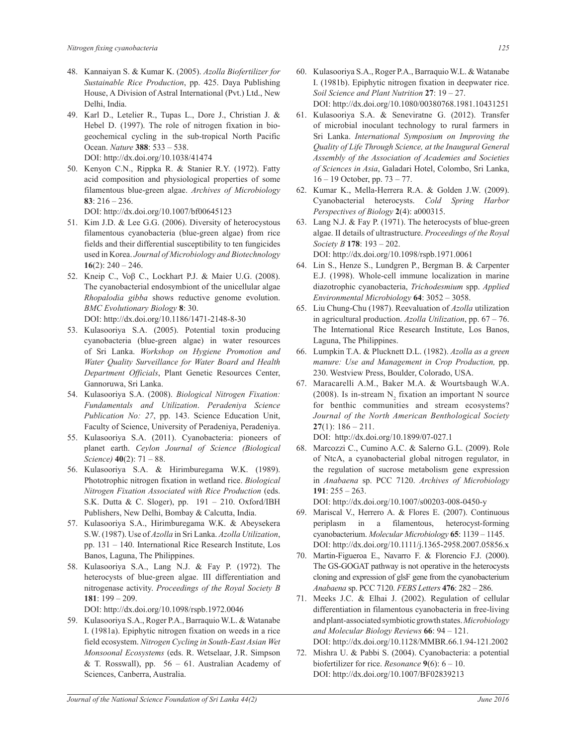- 48. Kannaiyan S. & Kumar K. (2005). *Azolla Biofertilizer for Sustainable Rice Production*, pp. 425. Daya Publishing House, A Division of Astral International (Pvt.) Ltd., New Delhi, India.
- 49. Karl D., Letelier R., Tupas L., Dore J., Christian J. & Hebel D. (1997). The role of nitrogen fixation in biogeochemical cycling in the sub-tropical North Pacific Ocean. *Nature* **388**: 533 – 538. DOI: http://dx.doi.org/10.1038/41474
- 50. Kenyon C.N., Rippka R. & Stanier R.Y. (1972). Fatty acid composition and physiological properties of some filamentous blue-green algae. *Archives of Microbiology* **83**: 216 – 236.

DOI: http://dx.doi.org/10.1007/bf00645123

- 51. Kim J.D. & Lee G.G. (2006). Diversity of heterocystous filamentous cyanobacteria (blue-green algae) from rice fields and their differential susceptibility to ten fungicides used in Korea. *Journal of Microbiology and Biotechnology* **16**(2): 240 – 246.
- 52. Kneip C., Voβ C., Lockhart P.J. & Maier U.G. (2008). The cyanobacterial endosymbiont of the unicellular algae *Rhopalodia gibba* shows reductive genome evolution. *BMC Evolutionary Biology* **8**: 30.

DOI: http://dx.doi.org/10.1186/1471-2148-8-30

- 53. Kulasooriya S.A. (2005). Potential toxin producing cyanobacteria (blue-green algae) in water resources of Sri Lanka. *Workshop on Hygiene Promotion and Water Quality Surveillance for Water Board and Health Department Officials*, Plant Genetic Resources Center, Gannoruwa, Sri Lanka.
- 54. Kulasooriya S.A. (2008). *Biological Nitrogen Fixation: Fundamentals and Utilization*. *Peradeniya Science Publication No: 27*, pp. 143. Science Education Unit, Faculty of Science, University of Peradeniya, Peradeniya.
- 55. Kulasooriya S.A. (2011). Cyanobacteria: pioneers of planet earth. *Ceylon Journal of Science (Biological Science)* **40**(2): 71 – 88.
- 56. Kulasooriya S.A. & Hirimburegama W.K. (1989). Phototrophic nitrogen fixation in wetland rice. *Biological Nitrogen Fixation Associated with Rice Production* (eds. S.K. Dutta & C. Sloger), pp. 191 – 210. Oxford/IBH Publishers, New Delhi, Bombay & Calcutta, India.
- 57. Kulasooriya S.A., Hirimburegama W.K. & Abeysekera S.W. (1987). Use of *Azolla* in Sri Lanka. *Azolla Utilization*, pp. 131 – 140. International Rice Research Institute, Los Banos, Laguna, The Philippines.
- 58. Kulasooriya S.A., Lang N.J. & Fay P. (1972). The heterocysts of blue-green algae. III differentiation and nitrogenase activity. *Proceedings of the Royal Society B*  **181**: 199 – 209.

DOI: http://dx.doi.org/10.1098/rspb.1972.0046

59. Kulasooriya S.A., Roger P.A., Barraquio W.L. & Watanabe I. (1981a). Epiphytic nitrogen fixation on weeds in a rice field ecosystem. *Nitrogen Cycling in South-East Asian Wet Monsoonal Ecosystems* (eds. R. Wetselaar, J.R. Simpson & T. Rosswall), pp.  $56 - 61$ . Australian Academy of Sciences, Canberra, Australia.

- 60. Kulasooriya S.A., Roger P.A., Barraquio W.L. & Watanabe I. (1981b). Epiphytic nitrogen fixation in deepwater rice. *Soil Science and Plant Nutrition* **27**: 19 – 27. DOI: http://dx.doi.org/10.1080/00380768.1981.10431251
- 61. Kulasooriya S.A. & Seneviratne G. (2012). Transfer of microbial inoculant technology to rural farmers in Sri Lanka. *International Symposium on Improving the Quality of Life Through Science, at the Inaugural General Assembly of the Association of Academies and Societies of Sciences in Asia*, Galadari Hotel, Colombo, Sri Lanka, 16 – 19 October, pp. 73 – 77.
- 62. Kumar K., Mella-Herrera R.A. & Golden J.W. (2009). Cyanobacterial heterocysts. *Cold Spring Harbor Perspectives of Biology* **2**(4): a000315.
- 63. Lang N.J. & Fay P. (1971). The heterocysts of blue-green algae. II details of ultrastructure. *Proceedings of the Royal Society B* **178**: 193 – 202. DOI: http://dx.doi.org/10.1098/rspb.1971.0061
- 64. Lin S., Henze S., Lundgren P., Bergman B. & Carpenter E.J. (1998). Whole-cell immune localization in marine diazotrophic cyanobacteria, *Trichodesmium* spp. *Applied Environmental Microbiology* **64**: 3052 – 3058.
- 65. Liu Chung-Chu (1987). Reevaluation of *Azolla* utilization in agricultural production. *Azolla Utilization*, pp. 67 – 76. The International Rice Research Institute, Los Banos, Laguna, The Philippines.
- 66. Lumpkin T.A. & Plucknett D.L. (1982). *Azolla as a green manure: Use and Management in Crop Production,* pp. 230. Westview Press, Boulder, Colorado, USA.
- 67. Maracarelli A.M., Baker M.A. & Wourtsbaugh W.A. (2008). Is in-stream  $N_2$  fixation an important N source for benthic communities and stream ecosystems? *Journal of the North American Benthological Society* **27**(1): 186 – 211. DOI: http://dx.doi.org/10.1899/07-027.1
- 68. Marcozzi C., Cumino A.C. & Salerno G.L. (2009). Role of NtcA, a cyanobacterial global nitrogen regulator, in the regulation of sucrose metabolism gene expression in *Anabaena* sp. PCC 7120. *Archives of Microbiology* **191**: 255 – 263.

DOI: http://dx.doi.org/10.1007/s00203-008-0450-y

- 69. Mariscal V., Herrero A. & Flores E. (2007). Continuous periplasm in a filamentous, heterocyst-forming cyanobacterium. *Molecular Microbiology* **65**: 1139 – 1145. DOI: http://dx.doi.org/10.1111/j.1365-2958.2007.05856.x
- 70. Martin-Figueroa E., Navarro F. & Florencio F.J. (2000). The GS-GOGAT pathway is not operative in the heterocysts cloning and expression of glsF gene from the cyanobacterium *Anabaena* sp. PCC 7120. *FEBS Letters* **476**: 282 – 286.
- 71. Meeks J.C. & Elhai J. (2002). Regulation of cellular differentiation in filamentous cyanobacteria in free-living and plant-associated symbiotic growth states. *Microbiology and Molecular Biology Reviews* **66**: 94 – 121. DOI: http://dx.doi.org/10.1128/MMBR.66.1.94-121.2002
- 72. Mishra U. & Pabbi S. (2004). Cyanobacteria: a potential biofertilizer for rice. *Resonance* **9**(6): 6 – 10. DOI: http://dx.doi.org/10.1007/BF02839213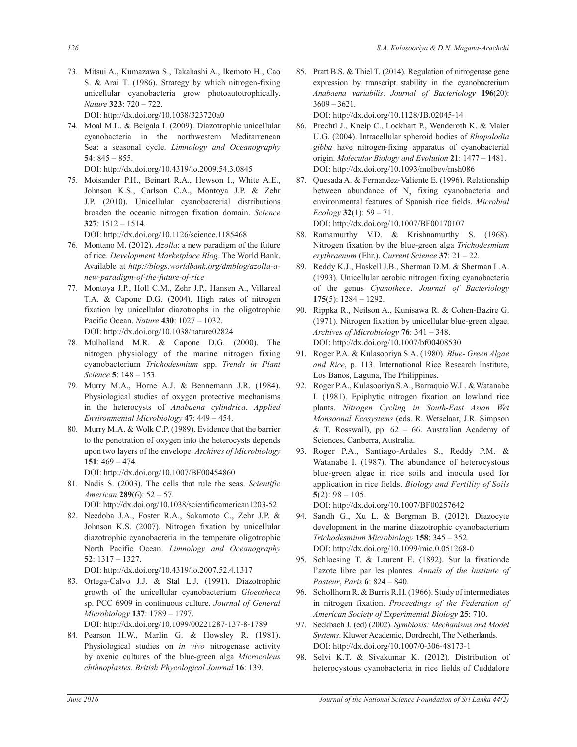73. Mitsui A., Kumazawa S., Takahashi A., Ikemoto H., Cao S. & Arai T. (1986). Strategy by which nitrogen-fixing unicellular cyanobacteria grow photoautotrophically. *Nature* **323**: 720 – 722.

DOI: http://dx.doi.org/10.1038/323720a0

74. Moal M.L. & Beigala I. (2009). Diazotrophic unicellular cyanobacteria in the northwestern Meditarrenean Sea: a seasonal cycle. *Limnology and Oceanography* **54**: 845 – 855.

DOI: http://dx.doi.org/10.4319/lo.2009.54.3.0845

75. Moisander P.H., Beinart R.A., Hewson I., White A.E., Johnson K.S., Carlson C.A., Montoya J.P. & Zehr J.P. (2010). Unicellular cyanobacterial distributions broaden the oceanic nitrogen fixation domain. *Science* **327**: 1512 – 1514.

DOI: http://dx.doi.org/10.1126/science.1185468

- 76. Montano M. (2012). *Azolla*: a new paradigm of the future of rice. *Development Marketplace Blog*. The World Bank. Available at *http://blogs.worldbank.org/dmblog/azolla-anew-paradigm-of-the-future-of-rice*
- 77. Montoya J.P., Holl C.M., Zehr J.P., Hansen A., Villareal T.A. & Capone D.G. (2004). High rates of nitrogen fixation by unicellular diazotrophs in the oligotrophic Pacific Ocean. *Nature* **430**: 1027 – 1032. DOI: http://dx.doi.org/10.1038/nature02824
- 78. Mulholland M.R. & Capone D.G. (2000). The nitrogen physiology of the marine nitrogen fixing cyanobacterium *Trichodesmium* spp. *Trends in Plant Science* **5**: 148 – 153.
- 79. Murry M.A., Horne A.J. & Bennemann J.R. (1984). Physiological studies of oxygen protective mechanisms in the heterocysts of *Anabaena cylindrica*. *Applied Environmental Microbiology* **47**: 449 – 454.
- 80. Murry M.A. & Wolk C.P. (1989). Evidence that the barrier to the penetration of oxygen into the heterocysts depends upon two layers of the envelope. *Archives of Microbiology*  **151**: 469 – 474*.*

DOI: http://dx.doi.org/10.1007/BF00454860

81. Nadis S. (2003). The cells that rule the seas. *Scientific American* **289**(6): 52 – 57.

DOI: http://dx.doi.org/10.1038/scientificamerican1203-52

82. Needoba J.A., Foster R.A., Sakamoto C., Zehr J.P. & Johnson K.S. (2007). Nitrogen fixation by unicellular diazotrophic cyanobacteria in the temperate oligotrophic North Pacific Ocean. *Limnology and Oceanography* **52**: 1317 – 1327.

DOI: http://dx.doi.org/10.4319/lo.2007.52.4.1317

83. Ortega-Calvo J.J. & Stal L.J. (1991). Diazotrophic growth of the unicellular cyanobacterium *Gloeotheca* sp. PCC 6909 in continuous culture. *Journal of General Microbiology* **137**: 1789 – 1797.

DOI: http://dx.doi.org/10.1099/00221287-137-8-1789

84. Pearson H.W., Marlin G. & Howsley R. (1981). Physiological studies on *in vivo* nitrogenase activity by axenic cultures of the blue-green alga *Microcoleus chthnoplastes*. *British Phycological Journal* **16**: 139.

85. Pratt B.S. & Thiel T. (2014). Regulation of nitrogenase gene expression by transcript stability in the cyanobacterium *Anabaena variabilis*. *Journal of Bacteriology* **196**(20): 3609 – 3621.

DOI: http://dx.doi.org/10.1128/JB.02045-14

- 86. Prechtl J., Kneip C., Lockhart P., Wenderoth K. & Maier U.G. (2004). Intracellular spheroid bodies of *Rhopalodia gibba* have nitrogen-fixing apparatus of cyanobacterial origin. *Molecular Biology and Evolution* **21**: 1477 – 1481. DOI: http://dx.doi.org/10.1093/molbev/msh086
- 87. Quesada A. & Fernandez-Valiente E. (1996). Relationship between abundance of  $N_2$  fixing cyanobacteria and environmental features of Spanish rice fields. *Microbial Ecology* **32**(1): 59 – 71.

DOI: http://dx.doi.org/10.1007/BF00170107

- 88. Ramamurthy V.D. & Krishnamurthy S. (1968). Nitrogen fixation by the blue-green alga *Trichodesmium erythraenum* (Ehr.). *Current Science* **37**: 21 – 22.
- 89. Reddy K.J., Haskell J.B., Sherman D.M. & Sherman L.A. (1993). Unicellular aerobic nitrogen fixing cyanobacteria of the genus *Cyanothece*. *Journal of Bacteriology* **175**(5): 1284 – 1292.
- 90. Rippka R., Neilson A., Kunisawa R. & Cohen-Bazire G. (1971). Nitrogen fixation by unicellular blue-green algae. *Archives of Microbiology* **76**: 341 – 348. DOI: http://dx.doi.org/10.1007/bf00408530
- 91. Roger P.A. & Kulasooriya S.A. (1980). *Blue- Green Algae and Rice*, p. 113. International Rice Research Institute, Los Banos, Laguna, The Philippines.
- 92. Roger P.A., Kulasooriya S.A., Barraquio W.L. & Watanabe I. (1981). Epiphytic nitrogen fixation on lowland rice plants. *Nitrogen Cycling in South-East Asian Wet Monsoonal Ecosystems* (eds. R. Wetselaar, J.R. Simpson & T. Rosswall), pp. 62 – 66. Australian Academy of Sciences, Canberra, Australia.
- 93. Roger P.A., Santiago-Ardales S., Reddy P.M. & Watanabe I. (1987). The abundance of heterocystous blue-green algae in rice soils and inocula used for application in rice fields. *Biology and Fertility of Soils* 5(2):  $98 - 105$ .

DOI: http://dx.doi.org/10.1007/BF00257642

- 94. Sandh G., Xu L. & Bergman B. (2012). Diazocyte development in the marine diazotrophic cyanobacterium *Trichodesmium Microbiology* **158**: 345 – 352. DOI: http://dx.doi.org/10.1099/mic.0.051268-0
- 95. Schloesing T. & Laurent E. (1892). Sur la fixationde l'azote libre par les plantes. *Annals of the Institute of Pasteur*, *Paris* **6**: 824 – 840.
- 96. Schollhorn R. & Burris R.H. (1966). Study of intermediates in nitrogen fixation. *Proceedings of the Federation of American Society of Experimental Biology* **25**: 710.
- 97. Seckbach J. (ed) (2002). *Symbiosis: Mechanisms and Model Systems*. Kluwer Academic, Dordrecht, The Netherlands. DOI: http://dx.doi.org/10.1007/0-306-48173-1
- 98. Selvi K.T. & Sivakumar K. (2012). Distribution of heterocystous cyanobacteria in rice fields of Cuddalore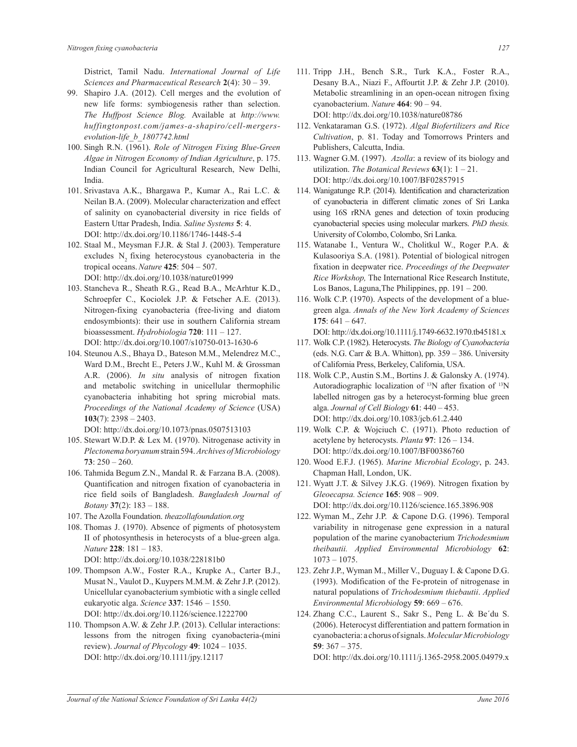District, Tamil Nadu. *International Journal of Life Sciences and Pharmaceutical Research* **2**(4): 30 – 39.

- 99. Shapiro J.A. (2012). Cell merges and the evolution of new life forms: symbiogenesis rather than selection. *The Huffpost Science Blog.* Available at *http://www. huffingtonpost.com/james-a-shapiro/cell-mergersevolution-life\_b\_1807742.html*
- 100. Singh R.N. (1961). *Role of Nitrogen Fixing Blue-Green Algae in Nitrogen Economy of Indian Agriculture*, p. 175. Indian Council for Agricultural Research, New Delhi, India.
- 101. Srivastava A.K., Bhargawa P., Kumar A., Rai L.C. & Neilan B.A. (2009). Molecular characterization and effect of salinity on cyanobacterial diversity in rice fields of Eastern Uttar Pradesh, India. *Saline Systems* **5**: 4. DOI: http://dx.doi.org/10.1186/1746-1448-5-4
- 102. Staal M., Meysman F.J.R. & Stal J. (2003). Temperature excludes  $N_2$  fixing heterocystous cyanobacteria in the tropical oceans.*Nature* **425**: 504 – 507. DOI: http://dx.doi.org/10.1038/nature01999
- 103. Stancheva R., Sheath R.G., Read B.A., McArhtur K.D., Schroepfer C., Kociolek J.P. & Fetscher A.E. (2013). Nitrogen-fixing cyanobacteria (free-living and diatom endosymbionts): their use in southern California stream bioassessment. *Hydrobiologia* **720**: 111 – 127. DOI: http://dx.doi.org/10.1007/s10750-013-1630-6
- 104. Steunou A.S., Bhaya D., Bateson M.M., Melendrez M.C., Ward D.M., Brecht E., Peters J.W., Kuhl M. & Grossman A.R. (2006). *In situ* analysis of nitrogen fixation and metabolic switching in unicellular thermophilic cyanobacteria inhabiting hot spring microbial mats. *Proceedings of the National Academy of Science* (USA) **103**(7): 2398 – 2403.
	- DOI: http://dx.doi.org/10.1073/pnas.0507513103
- 105. Stewart W.D.P. & Lex M. (1970). Nitrogenase activity in *Plectonema boryanum* strain 594. *Archives of Microbiology* **73**: 250 – 260.
- 106. Tahmida Begum Z.N., Mandal R. & Farzana B.A. (2008). Quantification and nitrogen fixation of cyanobacteria in rice field soils of Bangladesh. *Bangladesh Journal of Botany* **37**(2): 183 – 188.
- 107. The Azolla Foundation. *theazollafoundation.org*
- 108. Thomas J. (1970). Absence of pigments of photosystem II of photosynthesis in heterocysts of a blue-green alga. *Nature* **228**: 181 – 183. DOI: http://dx.doi.org/10.1038/228181b0
- 109. Thompson A.W., Foster R.A., Krupke A., Carter B.J., Musat N., Vaulot D., Kuypers M.M.M. & Zehr J.P. (2012). Unicellular cyanobacterium symbiotic with a single celled eukaryotic alga. *Science* **337**: 1546 – 1550. DOI: http://dx.doi.org/10.1126/science.1222700
- 110. Thompson A.W. & Zehr J.P. (2013). Cellular interactions: lessons from the nitrogen fixing cyanobacteria-(mini review). *Journal of Phycology* **49**: 1024 – 1035. DOI: http://dx.doi.org/10.1111/jpy.12117
- 111. Tripp J.H., Bench S.R., Turk K.A., Foster R.A., Desany B.A., Niazi F., Affourtit J.P. & Zehr J.P. (2010). Metabolic streamlining in an open-ocean nitrogen fixing cyanobacterium. *Nature* **464**: 90 – 94. DOI: http://dx.doi.org/10.1038/nature08786
- 112. Venkataraman G.S. (1972). *Algal Biofertilizers and Rice Cultivation*, p. 81. Today and Tomorrows Printers and Publishers, Calcutta, India.
- 113. Wagner G.M. (1997). *Azolla*: a review of its biology and utilization. *The Botanical Reviews* **63**(1): 1 – 21. DOI: http://dx.doi.org/10.1007/BF02857915
- 114. Wanigatunge R.P. (2014). Identification and characterization of cyanobacteria in different climatic zones of Sri Lanka using 16S rRNA genes and detection of toxin producing cyanobacterial species using molecular markers. *PhD thesis.*  University of Colombo, Colombo, Sri Lanka.
- 115. Watanabe I., Ventura W., Cholitkul W., Roger P.A. & Kulasooriya S.A. (1981). Potential of biological nitrogen fixation in deepwater rice. *Proceedings of the Deepwater Rice Workshop,* The International Rice Research Institute, Los Banos, Laguna,The Philippines, pp. 191 – 200.
- 116. Wolk C.P. (1970). Aspects of the development of a bluegreen alga. *Annals of the New York Academy of Sciences*  **175**: 641 – 647.
	- DOI: http://dx.doi.org/10.1111/j.1749-6632.1970.tb45181.x
- 117. Wolk C.P. (1982). Heterocysts. *The Biology of Cyanobacteria* (eds. N.G. Carr  $\&$  B.A. Whitton), pp. 359 – 386. University of California Press, Berkeley, California, USA.
- 118. Wolk C.P., Austin S.M., Bortins J. & Galonsky A. (1974). Autoradiographic localization of <sup>13</sup>N after fixation of <sup>13</sup>N labelled nitrogen gas by a heterocyst-forming blue green alga. *Journal of Cell Biology* **61**: 440 – 453. DOI: http://dx.doi.org/10.1083/jcb.61.2.440
- 119. Wolk C.P. & Wojciuch C. (1971). Photo reduction of acetylene by heterocysts. *Planta* **97**: 126 – 134. DOI: http://dx.doi.org/10.1007/BF00386760
- 120. Wood E.F.J. (1965). *Marine Microbial Ecology*, p. 243. Chapman Hall, London, UK.
- 121. Wyatt J.T. & Silvey J.K.G. (1969). Nitrogen fixation by *Gleoecapsa. Science* **165**: 908 – 909. DOI: http://dx.doi.org/10.1126/science.165.3896.908
- 122. Wyman M., Zehr J.P. & Capone D.G. (1996). Temporal variability in nitrogenase gene expression in a natural population of the marine cyanobacterium *Trichodesmium theibautii. Applied Environmental Microbiology* **62**: 1073 – 1075.
- 123. Zehr J.P., Wyman M., Miller V., Duguay I. & Capone D.G. (1993). Modification of the Fe-protein of nitrogenase in natural populations of *Trichodesmium thiebautii*. *Applied Environmental Microbiol*ogy **59**: 669 – 676.
- 124. Zhang C.C., Laurent S., Sakr S., Peng L. & Be´du S. (2006). Heterocyst differentiation and pattern formation in cyanobacteria: a chorus of signals. *Molecular Microbiology* **59**: 367 – 375.

DOI: http://dx.doi.org/10.1111/j.1365-2958.2005.04979.x